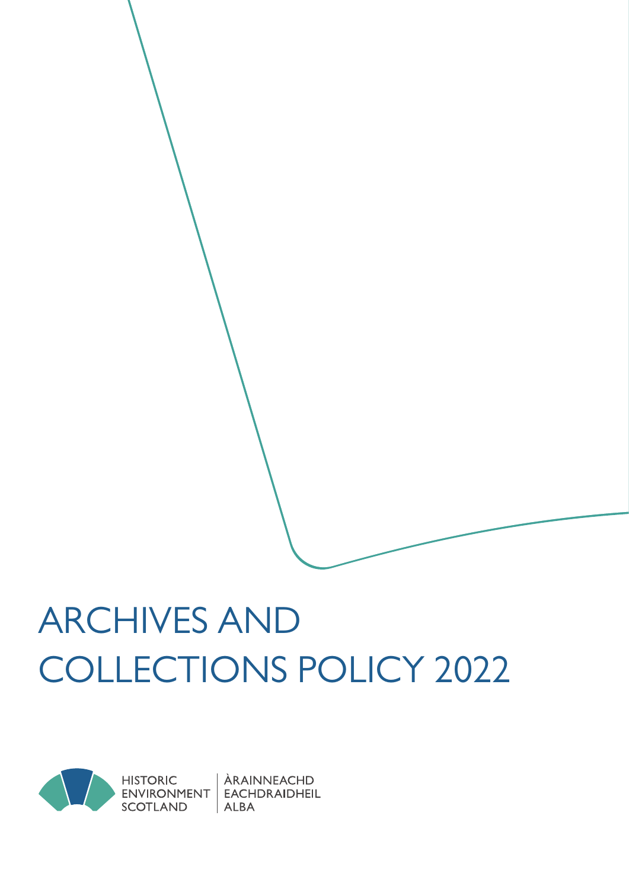# ARCHIVES AND COLLECTIONS POLICY 2022



ÀRAINNEACHD EACHDRAIDHEIL  $ALBA$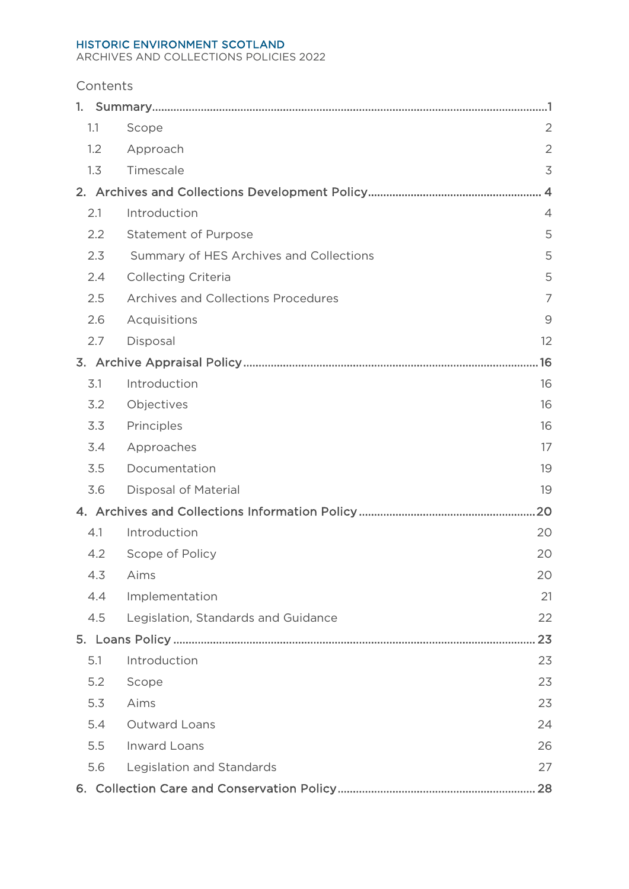#### HISTORIC ENVIRONMENT SCOTLAND

ARCHIVES AND COLLECTIONS POLICIES 2022

| Contents |  |
|----------|--|
|----------|--|

| 1.1 | Scope<br>$\overline{2}$                      |  |  |  |
|-----|----------------------------------------------|--|--|--|
| 1.2 | $\overline{2}$<br>Approach                   |  |  |  |
| 1.3 | 3<br>Timescale                               |  |  |  |
| 2.  |                                              |  |  |  |
| 2.1 | Introduction<br>$\overline{4}$               |  |  |  |
| 2.2 | <b>Statement of Purpose</b><br>5             |  |  |  |
| 2.3 | 5<br>Summary of HES Archives and Collections |  |  |  |
| 2.4 | 5<br><b>Collecting Criteria</b>              |  |  |  |
| 2.5 | Archives and Collections Procedures<br>7     |  |  |  |
| 2.6 | Acquisitions<br>9                            |  |  |  |
| 2.7 | Disposal<br>12                               |  |  |  |
| .16 |                                              |  |  |  |
| 3.1 | Introduction<br>16                           |  |  |  |
| 3.2 | Objectives<br>16                             |  |  |  |
| 3.3 | Principles<br>16                             |  |  |  |
| 3.4 | Approaches<br>17                             |  |  |  |
| 3.5 | Documentation<br>19                          |  |  |  |
| 3.6 | Disposal of Material<br>19                   |  |  |  |
|     |                                              |  |  |  |
| 4.1 | Introduction<br>20                           |  |  |  |
| 4.2 | Scope of Policy<br>20                        |  |  |  |
| 4.3 | Aims<br>20                                   |  |  |  |
| 4.4 | Implementation<br>21                         |  |  |  |
| 4.5 | Legislation, Standards and Guidance<br>22    |  |  |  |
|     | 23                                           |  |  |  |
| 5.1 | Introduction<br>23                           |  |  |  |
| 5.2 | 23<br>Scope                                  |  |  |  |
| 5.3 | Aims<br>23                                   |  |  |  |
| 5.4 | Outward Loans<br>24                          |  |  |  |
| 5.5 | <b>Inward Loans</b><br>26                    |  |  |  |
| 5.6 | Legislation and Standards<br>27              |  |  |  |
|     |                                              |  |  |  |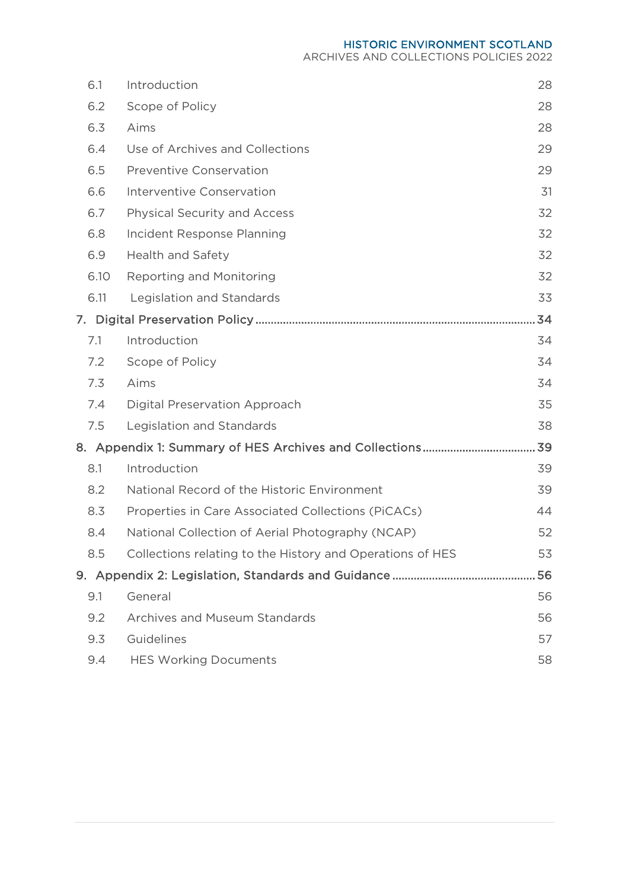HISTORIC ENVIRONMENT SCOTLAND

ARCHIVES AND COLLECTIONS POLICIES 2022

| 6.1  | Introduction                                              | 28 |
|------|-----------------------------------------------------------|----|
| 6.2  | Scope of Policy                                           | 28 |
| 6.3  | Aims                                                      | 28 |
| 6.4  | Use of Archives and Collections                           | 29 |
| 6.5  | <b>Preventive Conservation</b>                            | 29 |
| 6.6  | Interventive Conservation                                 | 31 |
| 6.7  | Physical Security and Access                              | 32 |
| 6.8  | Incident Response Planning                                | 32 |
| 6.9  | <b>Health and Safety</b>                                  | 32 |
| 6.10 | <b>Reporting and Monitoring</b>                           | 32 |
| 6.11 | Legislation and Standards                                 | 33 |
|      |                                                           | 34 |
| 7.1  | Introduction                                              | 34 |
| 7.2  | Scope of Policy                                           | 34 |
| 7.3  | Aims                                                      | 34 |
| 7.4  | Digital Preservation Approach                             | 35 |
| 7.5  | Legislation and Standards                                 | 38 |
|      |                                                           | 39 |
| 8.1  | Introduction                                              | 39 |
| 8.2  | National Record of the Historic Environment               | 39 |
| 8.3  | Properties in Care Associated Collections (PiCACs)        | 44 |
| 8.4  | National Collection of Aerial Photography (NCAP)          | 52 |
| 8.5  | Collections relating to the History and Operations of HES | 53 |
|      |                                                           | 56 |
| 9.1  | General                                                   | 56 |
| 9.2  | <b>Archives and Museum Standards</b>                      | 56 |
| 9.3  | Guidelines                                                | 57 |
| 9.4  | <b>HES Working Documents</b>                              | 58 |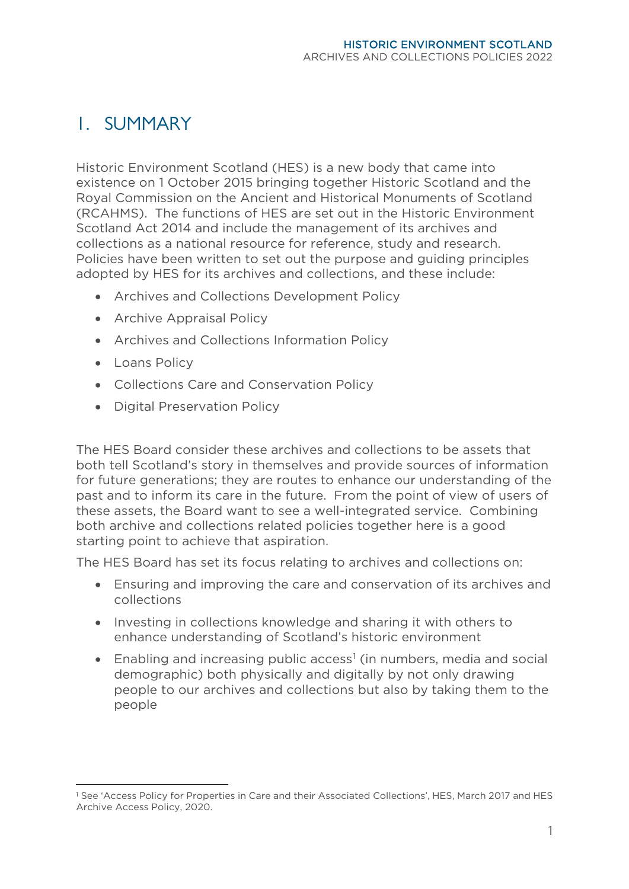# <span id="page-4-0"></span>1. SUMMARY

Historic Environment Scotland (HES) is a new body that came into existence on 1 October 2015 bringing together Historic Scotland and the Royal Commission on the Ancient and Historical Monuments of Scotland (RCAHMS). The functions of HES are set out in the Historic Environment Scotland Act 2014 and include the management of its archives and collections as a national resource for reference, study and research. Policies have been written to set out the purpose and guiding principles adopted by HES for its archives and collections, and these include:

- Archives and Collections Development Policy
- Archive Appraisal Policy
- Archives and Collections Information Policy
- Loans Policy
- Collections Care and Conservation Policy
- Digital Preservation Policy

The HES Board consider these archives and collections to be assets that both tell Scotland's story in themselves and provide sources of information for future generations; they are routes to enhance our understanding of the past and to inform its care in the future. From the point of view of users of these assets, the Board want to see a well-integrated service. Combining both archive and collections related policies together here is a good starting point to achieve that aspiration.

The HES Board has set its focus relating to archives and collections on:

- Ensuring and improving the care and conservation of its archives and collections
- Investing in collections knowledge and sharing it with others to enhance understanding of Scotland's historic environment
- Enabling and increasing public  $access<sup>1</sup>$  $access<sup>1</sup>$  $access<sup>1</sup>$  (in numbers, media and social demographic) both physically and digitally by not only drawing people to our archives and collections but also by taking them to the people

<span id="page-4-1"></span><sup>1</sup> See 'Access Policy for Properties in Care and their Associated Collections', HES, March 2017 and HES Archive Access Policy, 2020.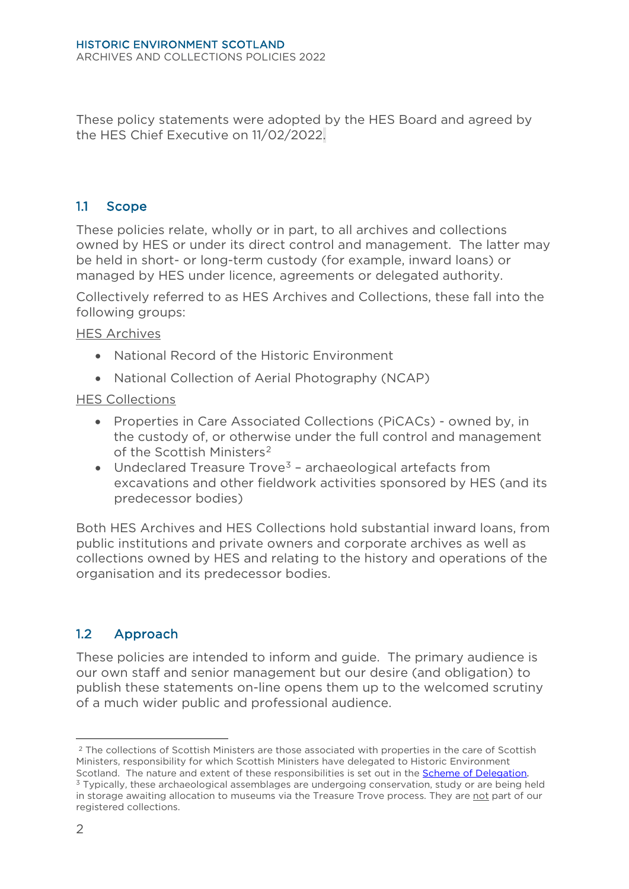These policy statements were adopted by the HES Board and agreed by the HES Chief Executive on 11/02/2022.

#### <span id="page-5-0"></span>1.1 Scope

These policies relate, wholly or in part, to all archives and collections owned by HES or under its direct control and management. The latter may be held in short- or long-term custody (for example, inward loans) or managed by HES under licence, agreements or delegated authority.

Collectively referred to as HES Archives and Collections, these fall into the following groups:

HES Archives

- National Record of the Historic Environment
- National Collection of Aerial Photography (NCAP)

#### HES Collections

- Properties in Care Associated Collections (PiCACs) owned by, in the custody of, or otherwise under the full control and management of the Scottish Ministers<sup>[2](#page-5-2)</sup>
- Undeclared Treasure  $T$ rove<sup>3</sup> archaeological artefacts from excavations and other fieldwork activities sponsored by HES (and its predecessor bodies)

Both HES Archives and HES Collections hold substantial inward loans, from public institutions and private owners and corporate archives as well as collections owned by HES and relating to the history and operations of the organisation and its predecessor bodies.

# <span id="page-5-1"></span>1.2 Approach

These policies are intended to inform and guide. The primary audience is our own staff and senior management but our desire (and obligation) to publish these statements on-line opens them up to the welcomed scrutiny of a much wider public and professional audience.

<span id="page-5-2"></span><sup>&</sup>lt;sup>2</sup> The collections of Scottish Ministers are those associated with properties in the care of Scottish Ministers, responsibility for which Scottish Ministers have delegated to Historic Environment Scotland. The nature and extent of these responsibilities is set out in the *Scheme of Delegation*.<br><sup>3</sup> Typically, these archaeological assemblages are undergoing conservation, study or are being held

<span id="page-5-3"></span>in storage awaiting allocation to museums via the Treasure Trove process. They are not part of our registered collections.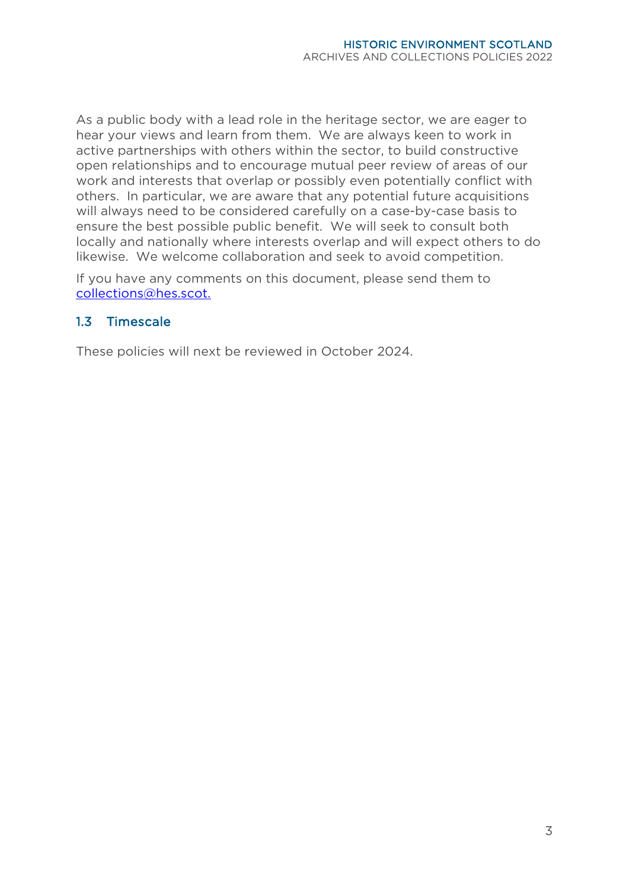As a public body with a lead role in the heritage sector, we are eager to hear your views and learn from them. We are always keen to work in active partnerships with others within the sector, to build constructive open relationships and to encourage mutual peer review of areas of our work and interests that overlap or possibly even potentially conflict with others. In particular, we are aware that any potential future acquisitions will always need to be considered carefully on a case-by-case basis to ensure the best possible public benefit. We will seek to consult both locally and nationally where interests overlap and will expect others to do likewise. We welcome collaboration and seek to avoid competition.

If you have any comments on this document, please send them to [collections@hes.scot.](mailto:collections@hes.scot)

#### <span id="page-6-0"></span>1.3 Timescale

These policies will next be reviewed in October 2024.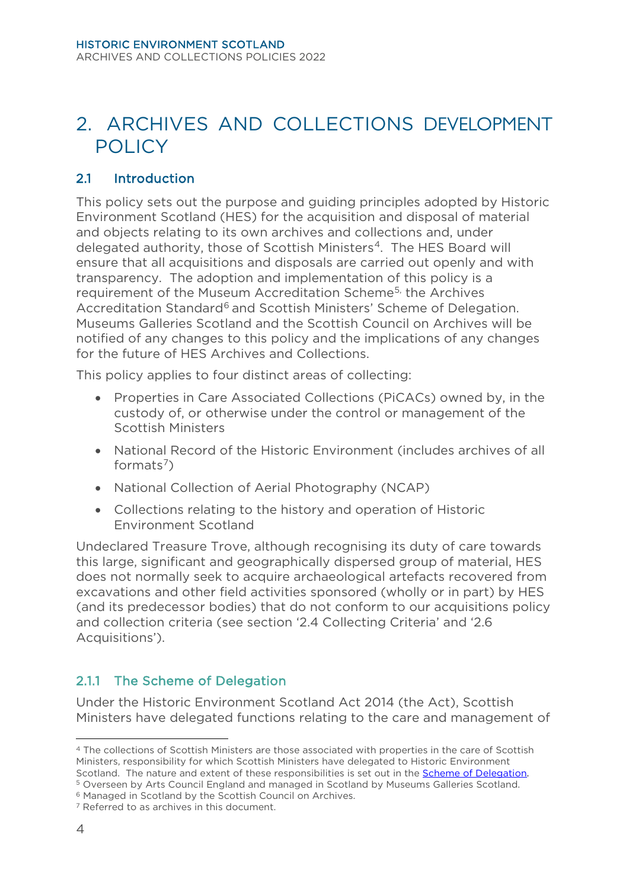# <span id="page-7-0"></span>2. ARCHIVES AND COLLECTIONS DEVELOPMENT **POLICY**

# <span id="page-7-1"></span>2.1 Introduction

This policy sets out the purpose and guiding principles adopted by Historic Environment Scotland (HES) for the acquisition and disposal of material and objects relating to its own archives and collections and, under delegated authority, those of Scottish Ministers[4.](#page-7-2) The HES Board will ensure that all acquisitions and disposals are carried out openly and with transparency. The adoption and implementation of this policy is a requirement of the Museum Accreditation Schem[e5](#page-7-3), the Archives Accreditation Standard<sup>[6](#page-7-4)</sup> and Scottish Ministers' Scheme of Delegation. Museums Galleries Scotland and the Scottish Council on Archives will be notified of any changes to this policy and the implications of any changes for the future of HES Archives and Collections.

This policy applies to four distinct areas of collecting:

- Properties in Care Associated Collections (PiCACs) owned by, in the custody of, or otherwise under the control or management of the Scottish Ministers
- National Record of the Historic Environment (includes archives of all formats<sup>[7](#page-7-5)</sup>)
- National Collection of Aerial Photography (NCAP)
- Collections relating to the history and operation of Historic Environment Scotland

Undeclared Treasure Trove, although recognising its duty of care towards this large, significant and geographically dispersed group of material, HES does not normally seek to acquire archaeological artefacts recovered from excavations and other field activities sponsored (wholly or in part) by HES (and its predecessor bodies) that do not conform to our acquisitions policy and collection criteria (see section '2.4 Collecting Criteria' and '2.6 Acquisitions').

# 2.1.1 The Scheme of Delegation

Under the Historic Environment Scotland Act 2014 (the Act), Scottish Ministers have delegated functions relating to the care and management of

<span id="page-7-2"></span><sup>4</sup> The collections of Scottish Ministers are those associated with properties in the care of Scottish Ministers, responsibility for which Scottish Ministers have delegated to Historic Environment Scotland. The nature and extent of these responsibilities is set out in the **Scheme of Delegation**.<sup>5</sup> Overseen by Arts Council England and managed in Scotland by Museums Galleries Scotland.<sup>6</sup> Managed in Scotland by the S

<span id="page-7-3"></span>

<span id="page-7-4"></span>

<span id="page-7-5"></span>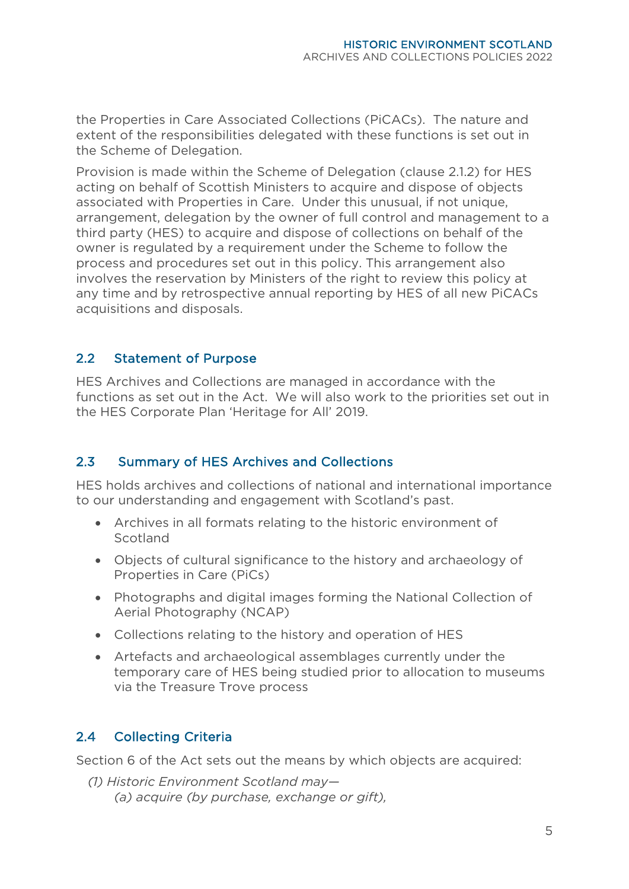the Properties in Care Associated Collections (PiCACs). The nature and extent of the responsibilities delegated with these functions is set out in the [Scheme of Delegation.](https://www.historicenvironment.scot/media/2562/hes-pic-scheme-of-delegation-collections.pdf)

Provision is made within the Scheme of Delegation (clause 2.1.2) for HES acting on behalf of Scottish Ministers to acquire and dispose of objects associated with Properties in Care. Under this unusual, if not unique, arrangement, delegation by the owner of full control and management to a third party (HES) to acquire and dispose of collections on behalf of the owner is regulated by a requirement under the Scheme to follow the process and procedures set out in this policy. This arrangement also involves the reservation by Ministers of the right to review this policy at any time and by retrospective annual reporting by HES of all new PiCACs acquisitions and disposals.

#### <span id="page-8-0"></span>2.2 Statement of Purpose

HES Archives and Collections are managed in accordance with the functions as set out in the Act. We will also work to the priorities set out in the HES Corporate Plan 'Heritage for All' 2019.

# <span id="page-8-1"></span>2.3 Summary of HES Archives and Collections

HES holds archives and collections of national and international importance to our understanding and engagement with Scotland's past.

- Archives in all formats relating to the historic environment of **Scotland**
- Objects of cultural significance to the history and archaeology of Properties in Care (PiCs)
- Photographs and digital images forming the National Collection of Aerial Photography (NCAP)
- Collections relating to the history and operation of HES
- Artefacts and archaeological assemblages currently under the temporary care of HES being studied prior to allocation to museums via the Treasure Trove process

# <span id="page-8-2"></span>2.4 Collecting Criteria

Section 6 of the Act sets out the means by which objects are acquired:

*(1) Historic Environment Scotland may— (a) acquire (by purchase, exchange or gift),*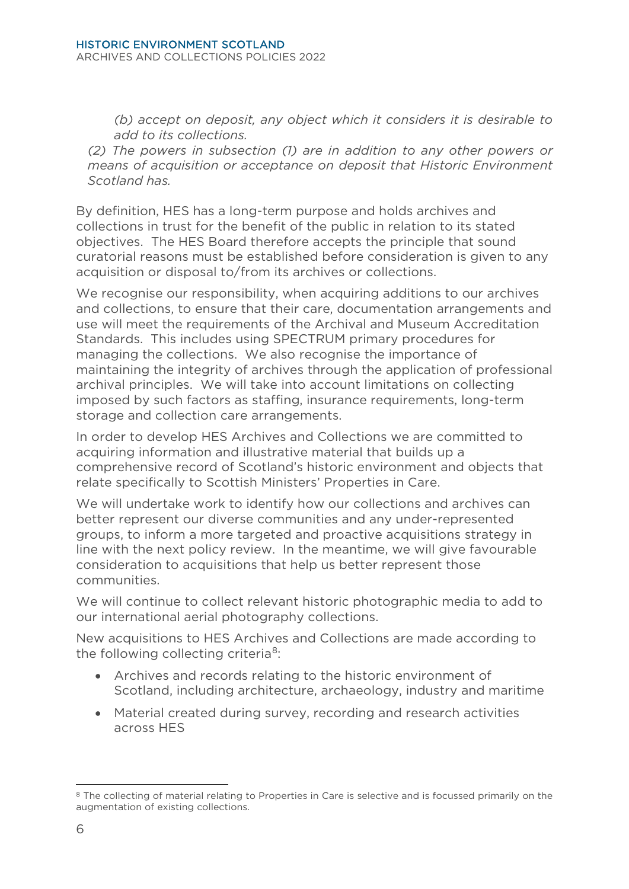*(b) accept on deposit, any object which it considers it is desirable to add to its collections.* 

*(2) The powers in subsection (1) are in addition to any other powers or means of acquisition or acceptance on deposit that Historic Environment Scotland has.*

By definition, HES has a long-term purpose and holds archives and collections in trust for the benefit of the public in relation to its stated objectives. The HES Board therefore accepts the principle that sound curatorial reasons must be established before consideration is given to any acquisition or disposal to/from its archives or collections.

We recognise our responsibility, when acquiring additions to our archives and collections, to ensure that their care, documentation arrangements and use will meet the requirements of the Archival and Museum Accreditation Standards. This includes using SPECTRUM primary procedures for managing the collections. We also recognise the importance of maintaining the integrity of archives through the application of professional archival principles. We will take into account limitations on collecting imposed by such factors as staffing, insurance requirements, long-term storage and collection care arrangements.

In order to develop HES Archives and Collections we are committed to acquiring information and illustrative material that builds up a comprehensive record of Scotland's historic environment and objects that relate specifically to Scottish Ministers' Properties in Care.

We will undertake work to identify how our collections and archives can better represent our diverse communities and any under-represented groups, to inform a more targeted and proactive acquisitions strategy in line with the next policy review. In the meantime, we will give favourable consideration to acquisitions that help us better represent those communities.

We will continue to collect relevant historic photographic media to add to our international aerial photography collections.

New acquisitions to HES Archives and Collections are made according to the following collecting criteria<sup>8</sup>:

- Archives and records relating to the historic environment of Scotland, including architecture, archaeology, industry and maritime
- Material created during survey, recording and research activities across HES

<span id="page-9-0"></span><sup>8</sup> The collecting of material relating to Properties in Care is selective and is focussed primarily on the augmentation of existing collections.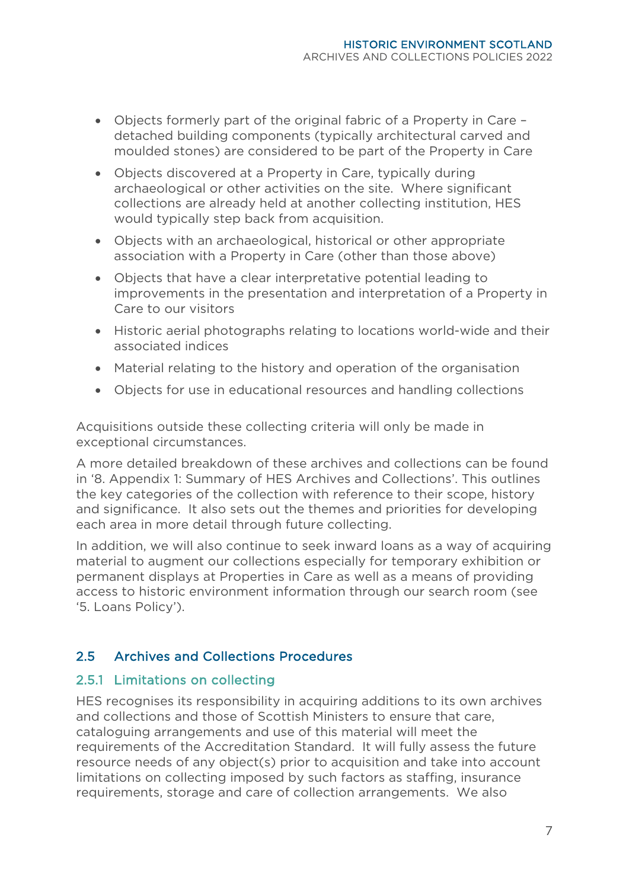- Objects formerly part of the original fabric of a Property in Care detached building components (typically architectural carved and moulded stones) are considered to be part of the Property in Care
- Objects discovered at a Property in Care, typically during archaeological or other activities on the site. Where significant collections are already held at another collecting institution, HES would typically step back from acquisition.
- Objects with an archaeological, historical or other appropriate association with a Property in Care (other than those above)
- Objects that have a clear interpretative potential leading to improvements in the presentation and interpretation of a Property in Care to our visitors
- Historic aerial photographs relating to locations world-wide and their associated indices
- Material relating to the history and operation of the organisation
- Objects for use in educational resources and handling collections

Acquisitions outside these collecting criteria will only be made in exceptional circumstances.

A more detailed breakdown of these archives and collections can be found in '8. Appendix 1: Summary of HES Archives and Collections'. This outlines the key categories of the collection with reference to their scope, history and significance. It also sets out the themes and priorities for developing each area in more detail through future collecting.

In addition, we will also continue to seek inward loans as a way of acquiring material to augment our collections especially for temporary exhibition or permanent displays at Properties in Care as well as a means of providing access to historic environment information through our search room (see '5. Loans Policy').

# <span id="page-10-0"></span>2.5 Archives and Collections Procedures

#### 2.5.1 Limitations on collecting

HES recognises its responsibility in acquiring additions to its own archives and collections and those of Scottish Ministers to ensure that care, cataloguing arrangements and use of this material will meet the requirements of the Accreditation Standard. It will fully assess the future resource needs of any object(s) prior to acquisition and take into account limitations on collecting imposed by such factors as staffing, insurance requirements, storage and care of collection arrangements. We also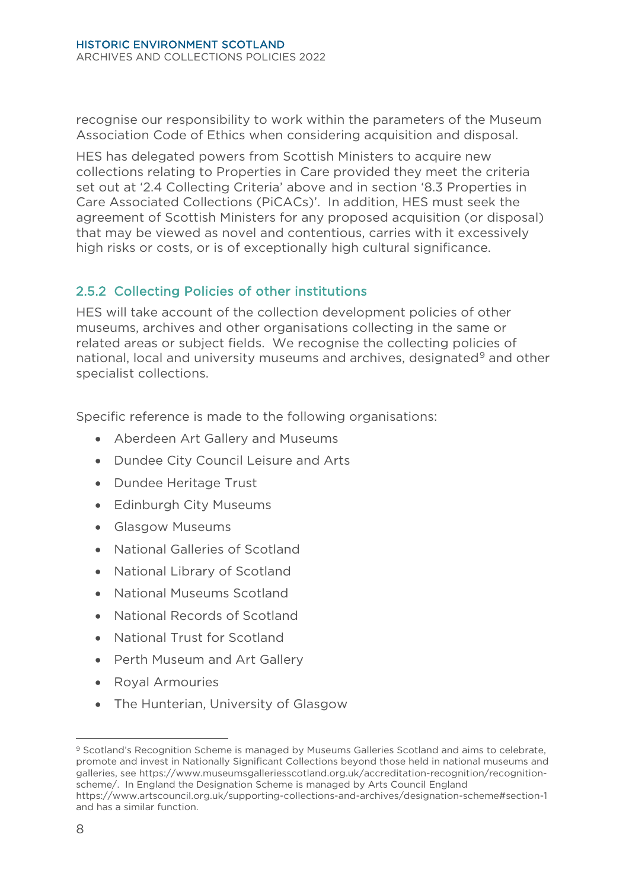recognise our responsibility to work within the parameters of the Museum Association Code of Ethics when considering acquisition and disposal.

HES has delegated powers from Scottish Ministers to acquire new collections relating to Properties in Care provided they meet the criteria set out at '2.4 Collecting Criteria' above and in section '8.3 Properties in Care Associated Collections (PiCACs)'. In addition, HES must seek the agreement of Scottish Ministers for any proposed acquisition (or disposal) that may be viewed as novel and contentious, carries with it excessively high risks or costs, or is of exceptionally high cultural significance.

# 2.5.2 Collecting Policies of other institutions

HES will take account of the collection development policies of other museums, archives and other organisations collecting in the same or related areas or subject fields. We recognise the collecting policies of national, local and university museums and archives, designated<sup>[9](#page-11-0)</sup> and other specialist collections.

Specific reference is made to the following organisations:

- Aberdeen Art Gallery and Museums
- Dundee City Council Leisure and Arts
- Dundee Heritage Trust
- Edinburgh City Museums
- Glasgow Museums
- National Galleries of Scotland
- National Library of Scotland
- National Museums Scotland
- National Records of Scotland
- National Trust for Scotland
- Perth Museum and Art Gallery
- Royal Armouries
- The Hunterian, University of Glasgow

<span id="page-11-0"></span><sup>9</sup> Scotland's Recognition Scheme is managed by Museums Galleries Scotland and aims to celebrate. promote and invest in Nationally Significant Collections beyond those held in national museums and galleries, see [https://www.museumsgalleriesscotland.org.uk/accreditation-recognition/recognition](https://www.museumsgalleriesscotland.org.uk/accreditation-recognition/recognition-scheme/)[scheme/.](https://www.museumsgalleriesscotland.org.uk/accreditation-recognition/recognition-scheme/) In England the Designation Scheme is managed by Arts Council England <https://www.artscouncil.org.uk/supporting-collections-and-archives/designation-scheme#section-1> and has a similar function.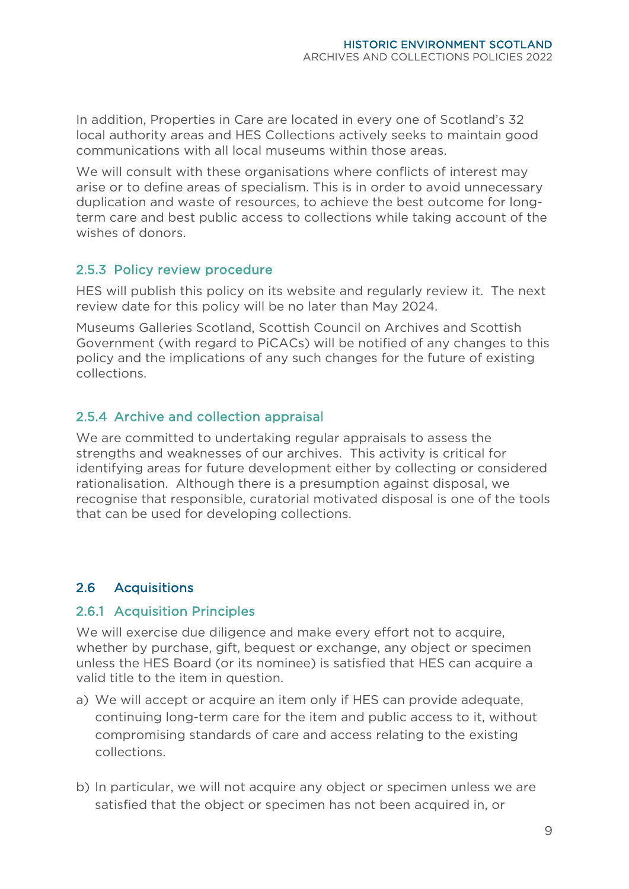In addition, Properties in Care are located in every one of Scotland's 32 local authority areas and HES Collections actively seeks to maintain good communications with all local museums within those areas.

We will consult with these organisations where conflicts of interest may arise or to define areas of specialism. This is in order to avoid unnecessary duplication and waste of resources, to achieve the best outcome for longterm care and best public access to collections while taking account of the wishes of donors.

#### 2.5.3 Policy review procedure

HES will publish this policy on its website and regularly review it. The next review date for this policy will be no later than May 2024.

Museums Galleries Scotland, Scottish Council on Archives and Scottish Government (with regard to PiCACs) will be notified of any changes to this policy and the implications of any such changes for the future of existing collections.

#### 2.5.4 Archive and collection appraisal

We are committed to undertaking regular appraisals to assess the strengths and weaknesses of our archives. This activity is critical for identifying areas for future development either by collecting or considered rationalisation. Although there is a presumption against disposal, we recognise that responsible, curatorial motivated disposal is one of the tools that can be used for developing collections.

#### <span id="page-12-0"></span>2.6 Acquisitions

#### 2.6.1 Acquisition Principles

We will exercise due diligence and make every effort not to acquire, whether by purchase, gift, bequest or exchange, any object or specimen unless the HES Board (or its nominee) is satisfied that HES can acquire a valid title to the item in question.

- a) We will accept or acquire an item only if HES can provide adequate, continuing long-term care for the item and public access to it, without compromising standards of care and access relating to the existing collections.
- b) In particular, we will not acquire any object or specimen unless we are satisfied that the object or specimen has not been acquired in, or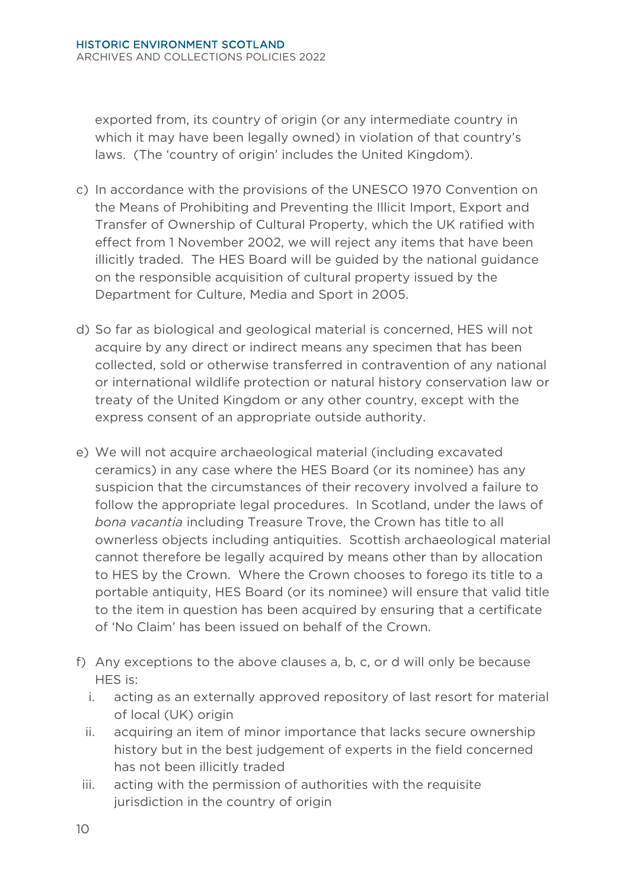exported from, its country of origin (or any intermediate country in which it may have been legally owned) in violation of that country's laws. (The 'country of origin' includes the United Kingdom).

- c) In accordance with the provisions of the UNESCO 1970 Convention on the Means of Prohibiting and Preventing the Illicit Import, Export and Transfer of Ownership of Cultural Property, which the UK ratified with effect from 1 November 2002, we will reject any items that have been illicitly traded. The HES Board will be guided by the national guidance on the responsible acquisition of cultural property issued by the Department for Culture, Media and Sport in 2005.
- d) So far as biological and geological material is concerned, HES will not acquire by any direct or indirect means any specimen that has been collected, sold or otherwise transferred in contravention of any national or international wildlife protection or natural history conservation law or treaty of the United Kingdom or any other country, except with the express consent of an appropriate outside authority.
- e) We will not acquire archaeological material (including excavated ceramics) in any case where the HES Board (or its nominee) has any suspicion that the circumstances of their recovery involved a failure to follow the appropriate legal procedures. In Scotland, under the laws of *bona vacantia* including Treasure Trove, the Crown has title to all ownerless objects including antiquities. Scottish archaeological material cannot therefore be legally acquired by means other than by allocation to HES by the Crown. Where the Crown chooses to forego its title to a portable antiquity, HES Board (or its nominee) will ensure that valid title to the item in question has been acquired by ensuring that a certificate of 'No Claim' has been issued on behalf of the Crown.
- f) Any exceptions to the above clauses a, b, c, or d will only be because HES is:
	- i. acting as an externally approved repository of last resort for material of local (UK) origin
	- ii. acquiring an item of minor importance that lacks secure ownership history but in the best judgement of experts in the field concerned has not been illicitly traded
- iii. acting with the permission of authorities with the requisite jurisdiction in the country of origin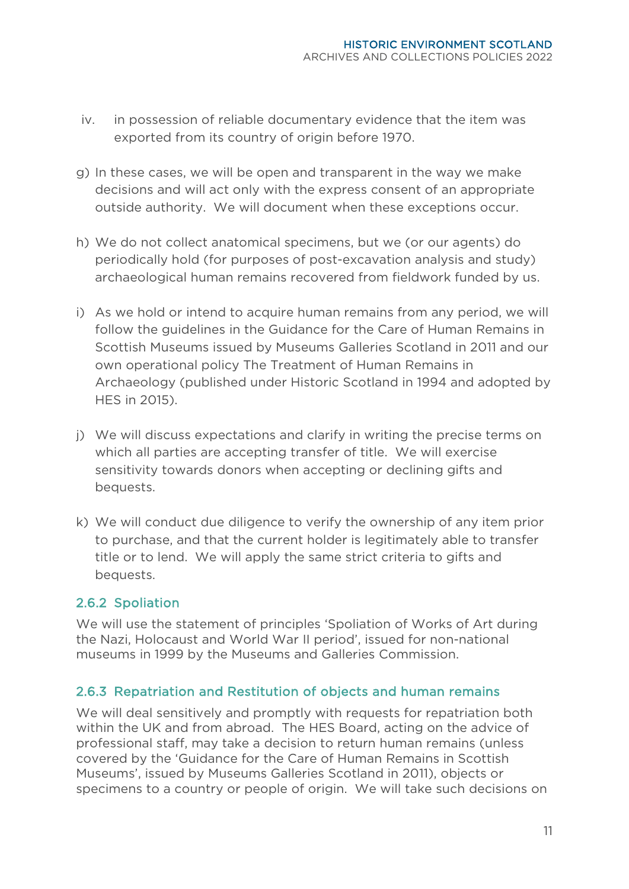- iv. in possession of reliable documentary evidence that the item was exported from its country of origin before 1970.
- g) In these cases, we will be open and transparent in the way we make decisions and will act only with the express consent of an appropriate outside authority. We will document when these exceptions occur.
- h) We do not collect anatomical specimens, but we (or our agents) do periodically hold (for purposes of post-excavation analysis and study) archaeological human remains recovered from fieldwork funded by us.
- i) As we hold or intend to acquire human remains from any period, we will follow the guidelines in the Guidance for the Care of Human Remains in Scottish Museums issued by Museums Galleries Scotland in 2011 and our own operational policy The Treatment of Human Remains in Archaeology (published under Historic Scotland in 1994 and adopted by HES in 2015).
- j) We will discuss expectations and clarify in writing the precise terms on which all parties are accepting transfer of title. We will exercise sensitivity towards donors when accepting or declining gifts and bequests.
- k) We will conduct due diligence to verify the ownership of any item prior to purchase, and that the current holder is legitimately able to transfer title or to lend. We will apply the same strict criteria to gifts and bequests.

# 2.6.2 Spoliation

We will use the statement of principles 'Spoliation of Works of Art during the Nazi, Holocaust and World War II period', issued for non-national museums in 1999 by the Museums and Galleries Commission.

#### 2.6.3 Repatriation and Restitution of objects and human remains

We will deal sensitively and promptly with requests for repatriation both within the UK and from abroad. The HES Board, acting on the advice of professional staff, may take a decision to return human remains (unless covered by the 'Guidance for the Care of Human Remains in Scottish Museums', issued by Museums Galleries Scotland in 2011), objects or specimens to a country or people of origin. We will take such decisions on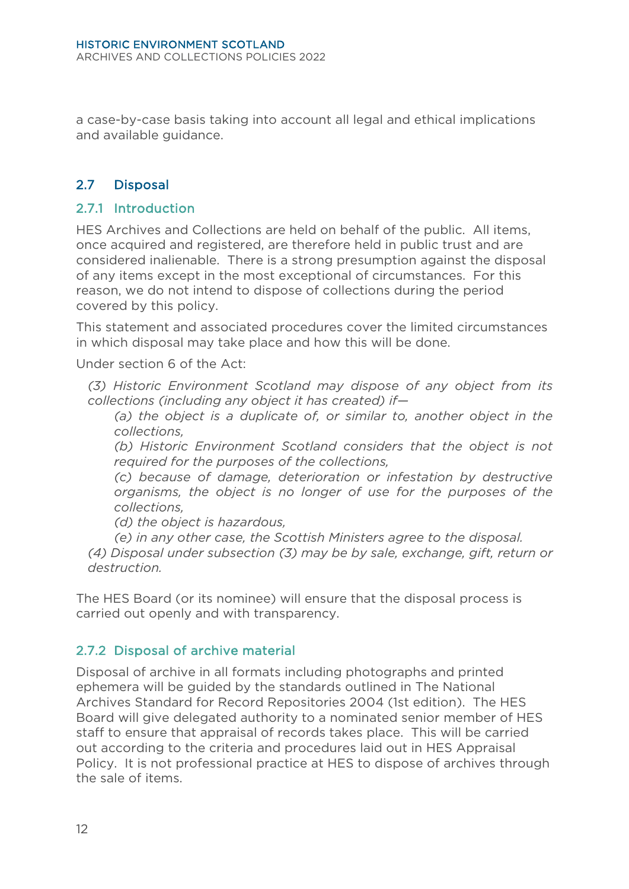a case-by-case basis taking into account all legal and ethical implications and available guidance.

#### <span id="page-15-0"></span>2.7 Disposal

#### 2.7.1 Introduction

HES Archives and Collections are held on behalf of the public. All items, once acquired and registered, are therefore held in public trust and are considered inalienable. There is a strong presumption against the disposal of any items except in the most exceptional of circumstances. For this reason, we do not intend to dispose of collections during the period covered by this policy.

This statement and associated procedures cover the limited circumstances in which disposal may take place and how this will be done.

Under section 6 of the Act:

*(3) Historic Environment Scotland may dispose of any object from its collections (including any object it has created) if—* 

*(a) the object is a duplicate of, or similar to, another object in the collections,*

*(b) Historic Environment Scotland considers that the object is not required for the purposes of the collections,*

*(c) because of damage, deterioration or infestation by destructive organisms, the object is no longer of use for the purposes of the collections,*

*(d) the object is hazardous,*

*(e) in any other case, the Scottish Ministers agree to the disposal.*

*(4) Disposal under subsection (3) may be by sale, exchange, gift, return or destruction.*

The HES Board (or its nominee) will ensure that the disposal process is carried out openly and with transparency.

#### 2.7.2 Disposal of archive material

Disposal of archive in all formats including photographs and printed ephemera will be guided by the standards outlined in The National Archives Standard for Record Repositories 2004 (1st edition). The HES Board will give delegated authority to a nominated senior member of HES staff to ensure that appraisal of records takes place. This will be carried out according to the criteria and procedures laid out in HES Appraisal Policy. It is not professional practice at HES to dispose of archives through the sale of items.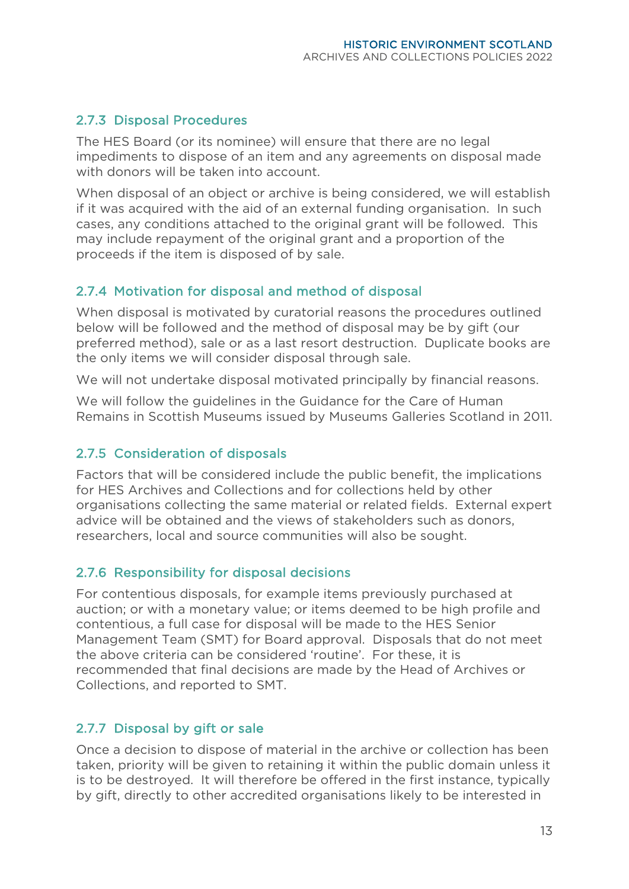#### 2.7.3 Disposal Procedures

The HES Board (or its nominee) will ensure that there are no legal impediments to dispose of an item and any agreements on disposal made with donors will be taken into account.

When disposal of an object or archive is being considered, we will establish if it was acquired with the aid of an external funding organisation. In such cases, any conditions attached to the original grant will be followed. This may include repayment of the original grant and a proportion of the proceeds if the item is disposed of by sale.

#### 2.7.4 Motivation for disposal and method of disposal

When disposal is motivated by curatorial reasons the procedures outlined below will be followed and the method of disposal may be by gift (our preferred method), sale or as a last resort destruction. Duplicate books are the only items we will consider disposal through sale.

We will not undertake disposal motivated principally by financial reasons.

We will follow the guidelines in the Guidance for the Care of Human Remains in Scottish Museums issued by Museums Galleries Scotland in 2011.

#### 2.7.5 Consideration of disposals

Factors that will be considered include the public benefit, the implications for HES Archives and Collections and for collections held by other organisations collecting the same material or related fields. External expert advice will be obtained and the views of stakeholders such as donors, researchers, local and source communities will also be sought.

#### 2.7.6 Responsibility for disposal decisions

For contentious disposals, for example items previously purchased at auction; or with a monetary value; or items deemed to be high profile and contentious, a full case for disposal will be made to the HES Senior Management Team (SMT) for Board approval. Disposals that do not meet the above criteria can be considered 'routine'. For these, it is recommended that final decisions are made by the Head of Archives or Collections, and reported to SMT.

#### 2.7.7 Disposal by gift or sale

Once a decision to dispose of material in the archive or collection has been taken, priority will be given to retaining it within the public domain unless it is to be destroyed. It will therefore be offered in the first instance, typically by gift, directly to other accredited organisations likely to be interested in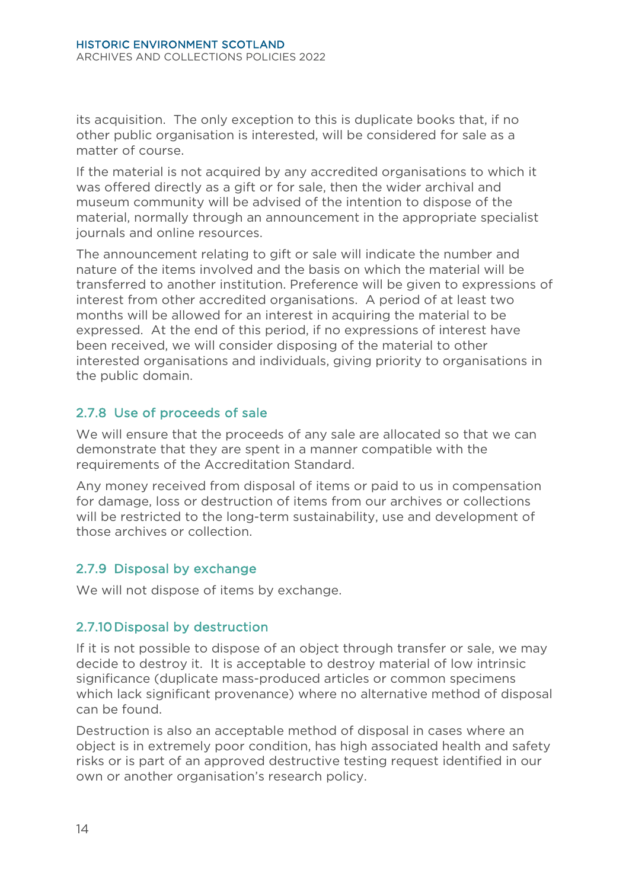its acquisition. The only exception to this is duplicate books that, if no other public organisation is interested, will be considered for sale as a matter of course.

If the material is not acquired by any accredited organisations to which it was offered directly as a gift or for sale, then the wider archival and museum community will be advised of the intention to dispose of the material, normally through an announcement in the appropriate specialist journals and online resources.

The announcement relating to gift or sale will indicate the number and nature of the items involved and the basis on which the material will be transferred to another institution. Preference will be given to expressions of interest from other accredited organisations. A period of at least two months will be allowed for an interest in acquiring the material to be expressed. At the end of this period, if no expressions of interest have been received, we will consider disposing of the material to other interested organisations and individuals, giving priority to organisations in the public domain.

# 2.7.8 Use of proceeds of sale

We will ensure that the proceeds of any sale are allocated so that we can demonstrate that they are spent in a manner compatible with the requirements of the Accreditation Standard.

Any money received from disposal of items or paid to us in compensation for damage, loss or destruction of items from our archives or collections will be restricted to the long-term sustainability, use and development of those archives or collection.

# 2.7.9 Disposal by exchange

We will not dispose of items by exchange.

#### 2.7.10 Disposal by destruction

If it is not possible to dispose of an object through transfer or sale, we may decide to destroy it. It is acceptable to destroy material of low intrinsic significance (duplicate mass-produced articles or common specimens which lack significant provenance) where no alternative method of disposal can be found.

Destruction is also an acceptable method of disposal in cases where an object is in extremely poor condition, has high associated health and safety risks or is part of an approved destructive testing request identified in our own or another organisation's research policy.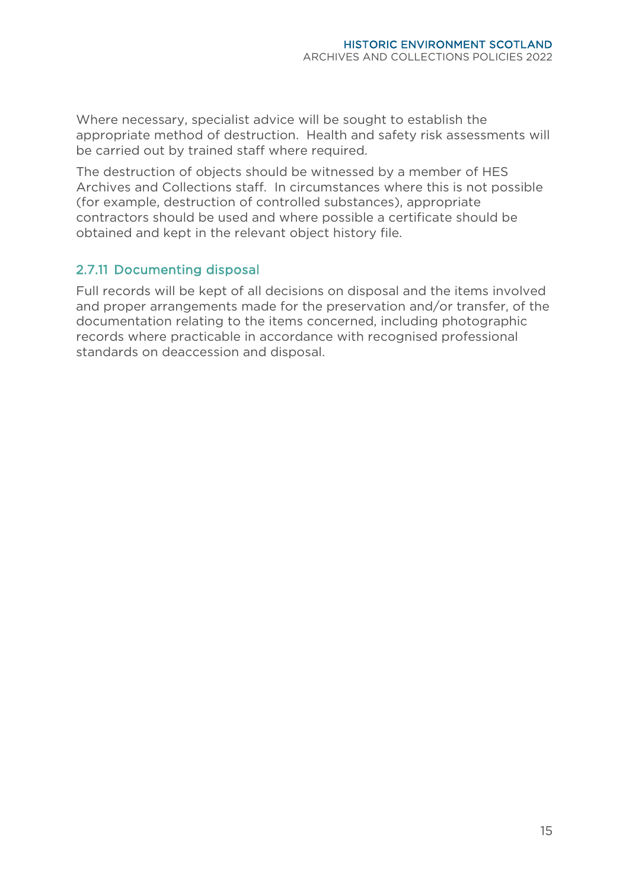Where necessary, specialist advice will be sought to establish the appropriate method of destruction. Health and safety risk assessments will be carried out by trained staff where required.

The destruction of objects should be witnessed by a member of HES Archives and Collections staff. In circumstances where this is not possible (for example, destruction of controlled substances), appropriate contractors should be used and where possible a certificate should be obtained and kept in the relevant object history file.

#### 2.7.11 Documenting disposal

Full records will be kept of all decisions on disposal and the items involved and proper arrangements made for the preservation and/or transfer, of the documentation relating to the items concerned, including photographic records where practicable in accordance with recognised professional standards on deaccession and disposal.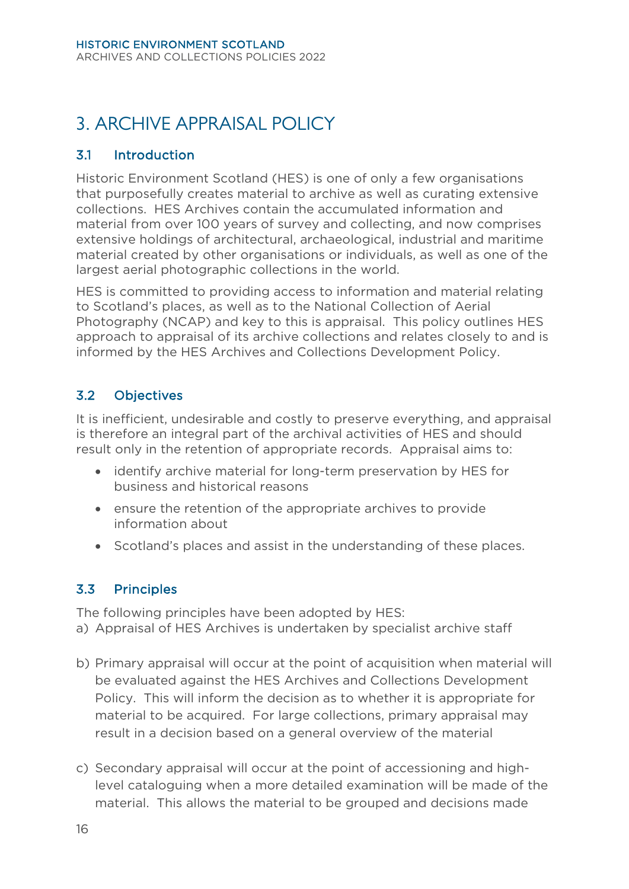# <span id="page-19-0"></span>3. ARCHIVE APPRAISAL POLICY

#### <span id="page-19-1"></span>3.1 Introduction

Historic Environment Scotland (HES) is one of only a few organisations that purposefully creates material to archive as well as curating extensive collections. HES Archives contain the accumulated information and material from over 100 years of survey and collecting, and now comprises extensive holdings of architectural, archaeological, industrial and maritime material created by other organisations or individuals, as well as one of the largest aerial photographic collections in the world.

HES is committed to providing access to information and material relating to Scotland's places, as well as to the National Collection of Aerial Photography (NCAP) and key to this is appraisal. This policy outlines HES approach to appraisal of its archive collections and relates closely to and is informed by the HES Archives and Collections Development Policy.

# <span id="page-19-2"></span>3.2 Objectives

It is inefficient, undesirable and costly to preserve everything, and appraisal is therefore an integral part of the archival activities of HES and should result only in the retention of appropriate records. Appraisal aims to:

- identify archive material for long-term preservation by HES for business and historical reasons
- ensure the retention of the appropriate archives to provide information about
- Scotland's places and assist in the understanding of these places.

# <span id="page-19-3"></span>3.3 Principles

The following principles have been adopted by HES: a) Appraisal of HES Archives is undertaken by specialist archive staff

- b) Primary appraisal will occur at the point of acquisition when material will be evaluated against the HES Archives and Collections Development Policy. This will inform the decision as to whether it is appropriate for material to be acquired. For large collections, primary appraisal may result in a decision based on a general overview of the material
- c) Secondary appraisal will occur at the point of accessioning and highlevel cataloguing when a more detailed examination will be made of the material. This allows the material to be grouped and decisions made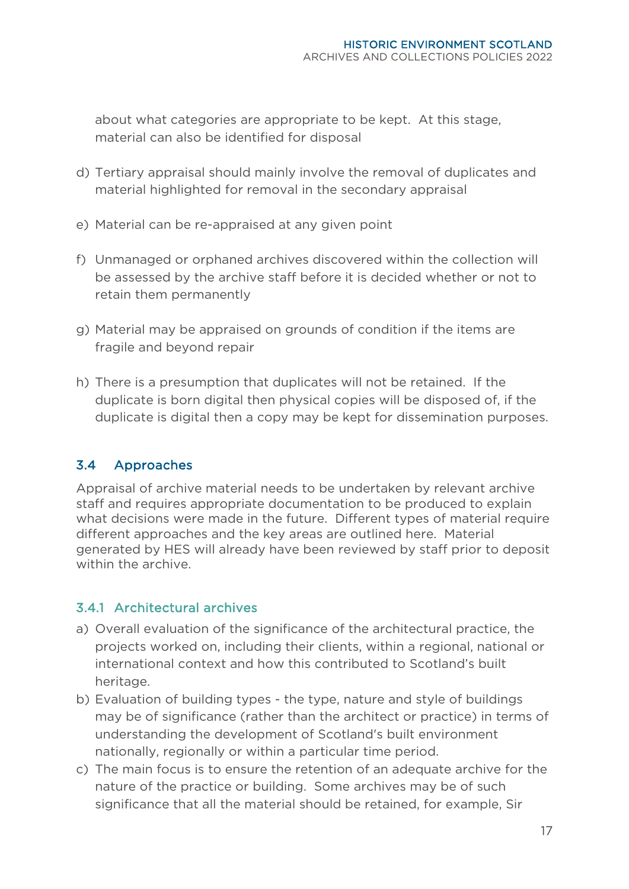about what categories are appropriate to be kept. At this stage, material can also be identified for disposal

- d) Tertiary appraisal should mainly involve the removal of duplicates and material highlighted for removal in the secondary appraisal
- e) Material can be re-appraised at any given point
- f) Unmanaged or orphaned archives discovered within the collection will be assessed by the archive staff before it is decided whether or not to retain them permanently
- g) Material may be appraised on grounds of condition if the items are fragile and beyond repair
- h) There is a presumption that duplicates will not be retained. If the duplicate is born digital then physical copies will be disposed of, if the duplicate is digital then a copy may be kept for dissemination purposes.

# <span id="page-20-0"></span>3.4 Approaches

Appraisal of archive material needs to be undertaken by relevant archive staff and requires appropriate documentation to be produced to explain what decisions were made in the future. Different types of material require different approaches and the key areas are outlined here. Material generated by HES will already have been reviewed by staff prior to deposit within the archive.

# 3.4.1 Architectural archives

- a) Overall evaluation of the significance of the architectural practice, the projects worked on, including their clients, within a regional, national or international context and how this contributed to Scotland's built heritage.
- b) Evaluation of building types the type, nature and style of buildings may be of significance (rather than the architect or practice) in terms of understanding the development of Scotland's built environment nationally, regionally or within a particular time period.
- c) The main focus is to ensure the retention of an adequate archive for the nature of the practice or building. Some archives may be of such significance that all the material should be retained, for example, Sir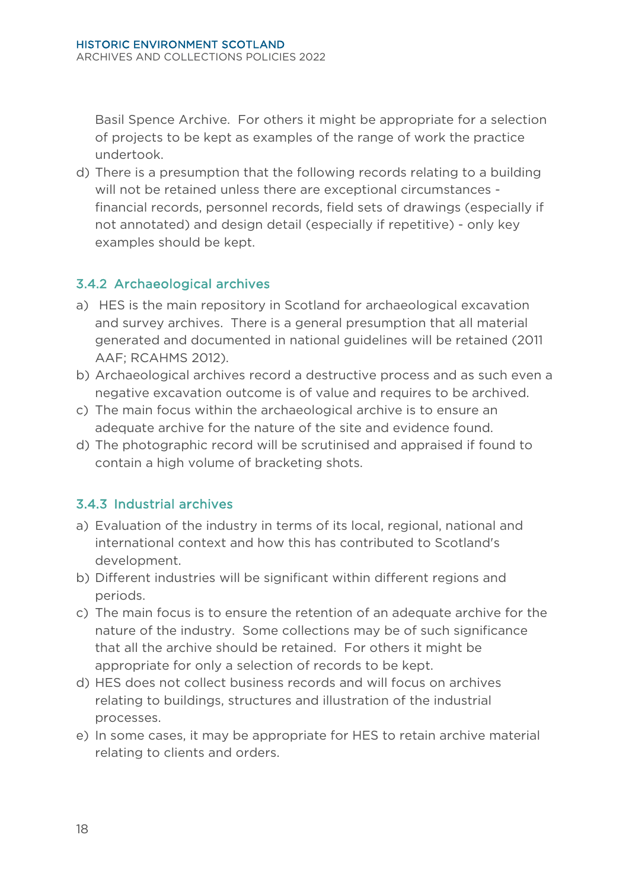Basil Spence Archive. For others it might be appropriate for a selection of projects to be kept as examples of the range of work the practice undertook.

d) There is a presumption that the following records relating to a building will not be retained unless there are exceptional circumstances financial records, personnel records, field sets of drawings (especially if not annotated) and design detail (especially if repetitive) - only key examples should be kept.

# 3.4.2 Archaeological archives

- a) HES is the main repository in Scotland for archaeological excavation and survey archives. There is a general presumption that all material generated and documented in national guidelines will be retained (2011 AAF; RCAHMS 2012).
- b) Archaeological archives record a destructive process and as such even a negative excavation outcome is of value and requires to be archived.
- c) The main focus within the archaeological archive is to ensure an adequate archive for the nature of the site and evidence found.
- d) The photographic record will be scrutinised and appraised if found to contain a high volume of bracketing shots.

# 3.4.3 Industrial archives

- a) Evaluation of the industry in terms of its local, regional, national and international context and how this has contributed to Scotland's development.
- b) Different industries will be significant within different regions and periods.
- c) The main focus is to ensure the retention of an adequate archive for the nature of the industry. Some collections may be of such significance that all the archive should be retained. For others it might be appropriate for only a selection of records to be kept.
- d) HES does not collect business records and will focus on archives relating to buildings, structures and illustration of the industrial processes.
- e) In some cases, it may be appropriate for HES to retain archive material relating to clients and orders.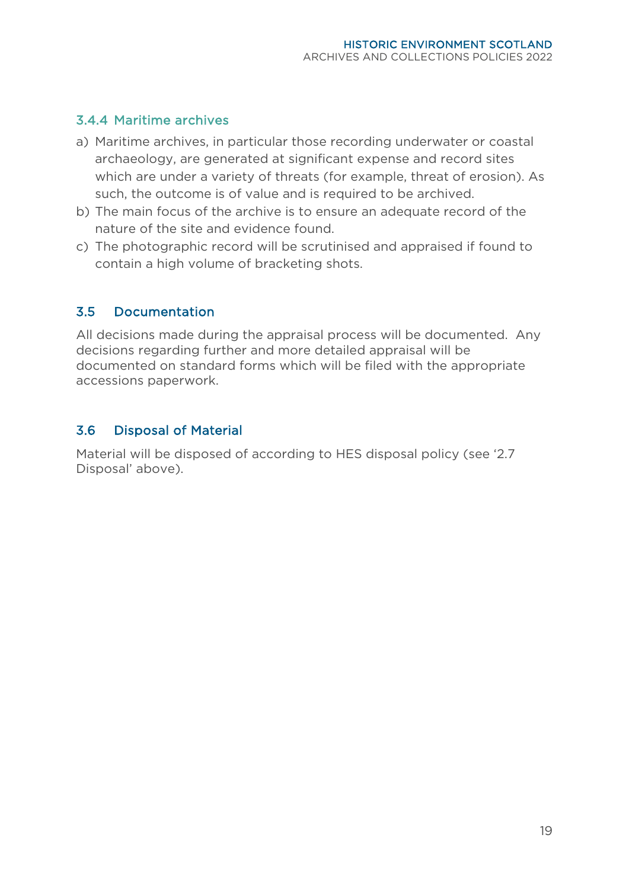#### 3.4.4 Maritime archives

- a) Maritime archives, in particular those recording underwater or coastal archaeology, are generated at significant expense and record sites which are under a variety of threats (for example, threat of erosion). As such, the outcome is of value and is required to be archived.
- b) The main focus of the archive is to ensure an adequate record of the nature of the site and evidence found.
- c) The photographic record will be scrutinised and appraised if found to contain a high volume of bracketing shots.

#### <span id="page-22-0"></span>3.5 Documentation

All decisions made during the appraisal process will be documented. Any decisions regarding further and more detailed appraisal will be documented on standard forms which will be filed with the appropriate accessions paperwork.

# <span id="page-22-1"></span>3.6 Disposal of Material

Material will be disposed of according to HES disposal policy (see '2.7 Disposal' above).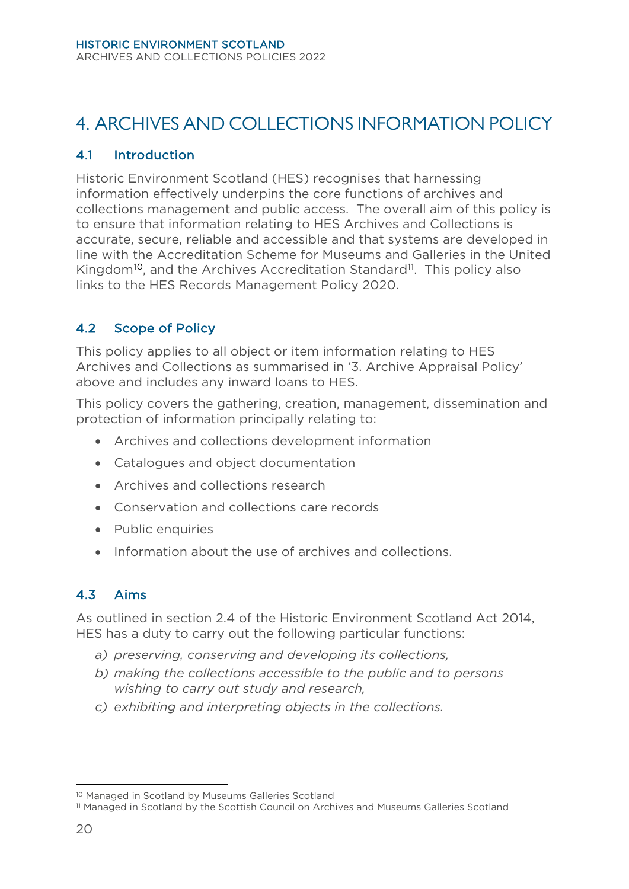# <span id="page-23-0"></span>4. ARCHIVES AND COLLECTIONS INFORMATION POLICY

#### <span id="page-23-1"></span>4.1 Introduction

Historic Environment Scotland (HES) recognises that harnessing information effectively underpins the core functions of archives and collections management and public access. The overall aim of this policy is to ensure that information relating to HES Archives and Collections is accurate, secure, reliable and accessible and that systems are developed in line with the Accreditation Scheme for Museums and Galleries in the United Kingdom<sup>[10](#page-23-4)</sup>, and the Archives Accreditation Standard<sup>11</sup>. This policy also links to the HES Records Management Policy 2020.

# <span id="page-23-2"></span>4.2 Scope of Policy

This policy applies to all object or item information relating to HES Archives and Collections as summarised in '3. Archive Appraisal Policy' above and includes any inward loans to HES.

This policy covers the gathering, creation, management, dissemination and protection of information principally relating to:

- Archives and collections development information
- Catalogues and object documentation
- Archives and collections research
- Conservation and collections care records
- Public enquiries
- Information about the use of archives and collections.

# <span id="page-23-3"></span>4.3 Aims

As outlined in section 2.4 of the Historic Environment Scotland Act 2014, HES has a duty to carry out the following particular functions:

- *a) preserving, conserving and developing its collections,*
- *b) making the collections accessible to the public and to persons wishing to carry out study and research,*
- *c) exhibiting and interpreting objects in the collections.*

<span id="page-23-4"></span><sup>10</sup> Managed in Scotland by Museums Galleries Scotland

<span id="page-23-5"></span><sup>11</sup> Managed in Scotland by the Scottish Council on Archives and Museums Galleries Scotland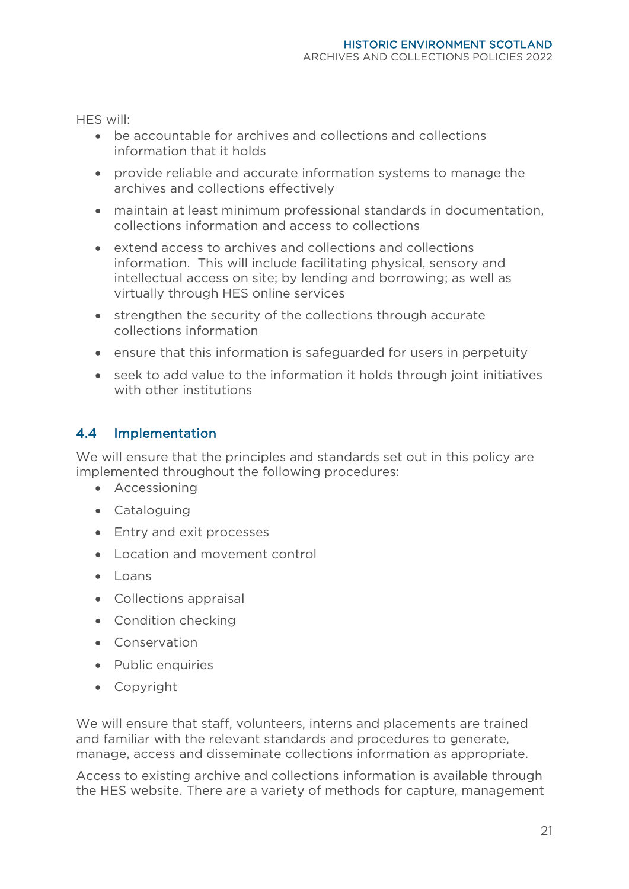HES will:

- be accountable for archives and collections and collections information that it holds
- provide reliable and accurate information systems to manage the archives and collections effectively
- maintain at least minimum professional standards in documentation, collections information and access to collections
- extend access to archives and collections and collections information. This will include facilitating physical, sensory and intellectual access on site; by lending and borrowing; as well as virtually through HES online services
- strengthen the security of the collections through accurate collections information
- ensure that this information is safeguarded for users in perpetuity
- seek to add value to the information it holds through joint initiatives with other institutions

# <span id="page-24-0"></span>4.4 Implementation

We will ensure that the principles and standards set out in this policy are implemented throughout the following procedures:

- Accessioning
- Cataloguing
- Entry and exit processes
- Location and movement control
- Loans
- Collections appraisal
- Condition checking
- Conservation
- Public enquiries
- Copyright

We will ensure that staff, volunteers, interns and placements are trained and familiar with the relevant standards and procedures to generate, manage, access and disseminate collections information as appropriate.

Access to existing archive and collections information is available through the HES website. There are a variety of methods for capture, management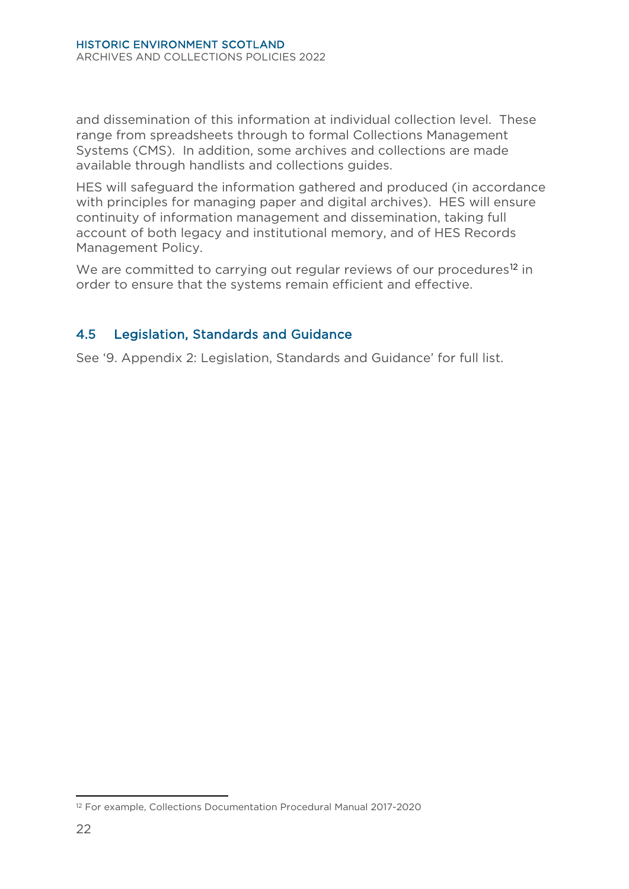and dissemination of this information at individual collection level. These range from spreadsheets through to formal Collections Management Systems (CMS). In addition, some archives and collections are made available through handlists and collections guides.

HES will safeguard the information gathered and produced (in accordance with principles for managing paper and digital archives). HES will ensure continuity of information management and dissemination, taking full account of both legacy and institutional memory, and of HES Records Management Policy.

We are committed to carrying out regular reviews of our procedures<sup>[12](#page-25-1)</sup> in order to ensure that the systems remain efficient and effective.

#### <span id="page-25-0"></span>4.5 Legislation, Standards and Guidance

See '9. Appendix 2: Legislation, Standards and Guidance' for full list.

<span id="page-25-1"></span><sup>12</sup> For example, Collections Documentation Procedural Manual 2017-2020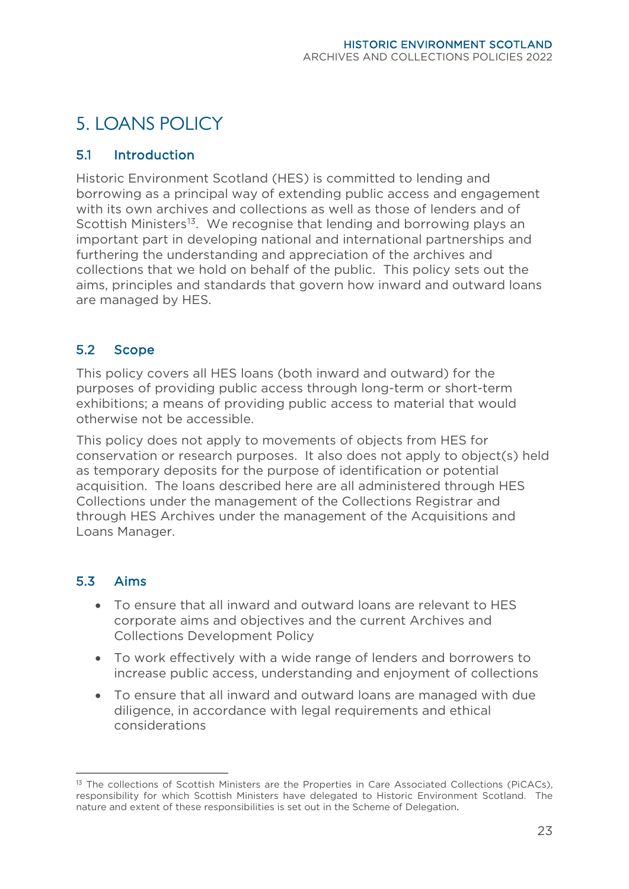# <span id="page-26-0"></span>5. LOANS POLICY

#### <span id="page-26-1"></span>5.1 Introduction

Historic Environment Scotland (HES) is committed to lending and borrowing as a principal way of extending public access and engagement with its own archives and collections as well as those of lenders and of Scottish Ministers<sup>[13](#page-26-4)</sup>. We recognise that lending and borrowing plays an important part in developing national and international partnerships and furthering the understanding and appreciation of the archives and collections that we hold on behalf of the public. This policy sets out the aims, principles and standards that govern how inward and outward loans are managed by HES.

#### <span id="page-26-2"></span>5.2 Scope

This policy covers all HES loans (both inward and outward) for the purposes of providing public access through long-term or short-term exhibitions; a means of providing public access to material that would otherwise not be accessible.

This policy does not apply to movements of objects from HES for conservation or research purposes. It also does not apply to object(s) held as temporary deposits for the purpose of identification or potential acquisition. The loans described here are all administered through HES Collections under the management of the Collections Registrar and through HES Archives under the management of the Acquisitions and Loans Manager.

#### <span id="page-26-3"></span>5.3 Aims

- To ensure that all inward and outward loans are relevant to HES corporate aims and objectives and the current Archives and Collections Development Policy
- To work effectively with a wide range of lenders and borrowers to increase public access, understanding and enjoyment of collections
- To ensure that all inward and outward loans are managed with due diligence, in accordance with legal requirements and ethical considerations

<span id="page-26-4"></span><sup>&</sup>lt;sup>13</sup> The collections of Scottish Ministers are the Properties in Care Associated Collections (PiCACs), responsibility for which Scottish Ministers have delegated to Historic Environment Scotland. The nature and extent of these responsibilities is set out in the Scheme of Delegation.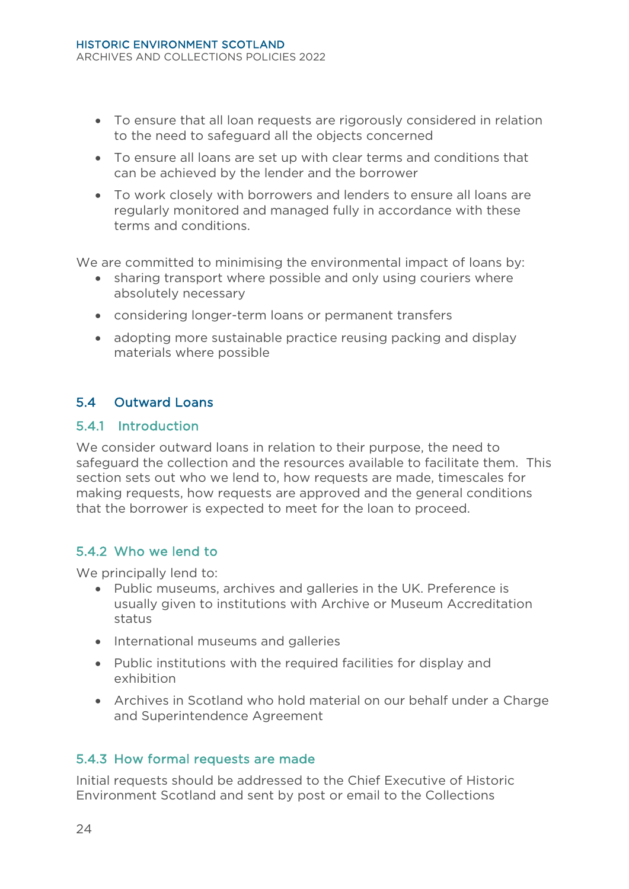- To ensure that all loan requests are rigorously considered in relation to the need to safeguard all the objects concerned
- To ensure all loans are set up with clear terms and conditions that can be achieved by the lender and the borrower
- To work closely with borrowers and lenders to ensure all loans are regularly monitored and managed fully in accordance with these terms and conditions.

We are committed to minimising the environmental impact of loans by:

- sharing transport where possible and only using couriers where absolutely necessary
- considering longer-term loans or permanent transfers
- adopting more sustainable practice reusing packing and display materials where possible

# <span id="page-27-0"></span>5.4 Outward Loans

#### 5.4.1 Introduction

We consider outward loans in relation to their purpose, the need to safeguard the collection and the resources available to facilitate them. This section sets out who we lend to, how requests are made, timescales for making requests, how requests are approved and the general conditions that the borrower is expected to meet for the loan to proceed.

#### 5.4.2 Who we lend to

We principally lend to:

- Public museums, archives and galleries in the UK. Preference is usually given to institutions with Archive or Museum Accreditation status
- International museums and galleries
- Public institutions with the required facilities for display and exhibition
- Archives in Scotland who hold material on our behalf under a Charge and Superintendence Agreement

#### 5.4.3 How formal requests are made

Initial requests should be addressed to the Chief Executive of Historic Environment Scotland and sent by post or email to the Collections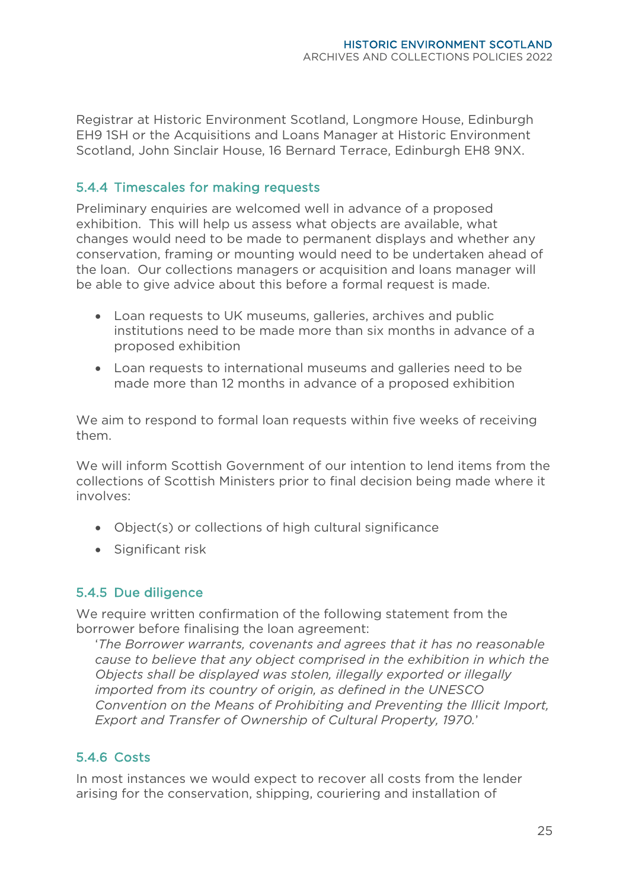Registrar at Historic Environment Scotland, Longmore House, Edinburgh EH9 1SH or the Acquisitions and Loans Manager at Historic Environment Scotland, John Sinclair House, 16 Bernard Terrace, Edinburgh EH8 9NX.

#### 5.4.4 Timescales for making requests

Preliminary enquiries are welcomed well in advance of a proposed exhibition. This will help us assess what objects are available, what changes would need to be made to permanent displays and whether any conservation, framing or mounting would need to be undertaken ahead of the loan. Our collections managers or acquisition and loans manager will be able to give advice about this before a formal request is made.

- Loan requests to UK museums, galleries, archives and public institutions need to be made more than six months in advance of a proposed exhibition
- Loan requests to international museums and galleries need to be made more than 12 months in advance of a proposed exhibition

We aim to respond to formal loan requests within five weeks of receiving them.

We will inform Scottish Government of our intention to lend items from the collections of Scottish Ministers prior to final decision being made where it involves:

- Object(s) or collections of high cultural significance
- Significant risk

#### 5.4.5 Due diligence

We require written confirmation of the following statement from the borrower before finalising the loan agreement:

'*The Borrower warrants, covenants and agrees that it has no reasonable cause to believe that any object comprised in the exhibition in which the Objects shall be displayed was stolen, illegally exported or illegally imported from its country of origin, as defined in the UNESCO Convention on the Means of Prohibiting and Preventing the Illicit Import, Export and Transfer of Ownership of Cultural Property, 1970.*'

# 5.4.6 Costs

In most instances we would expect to recover all costs from the lender arising for the conservation, shipping, couriering and installation of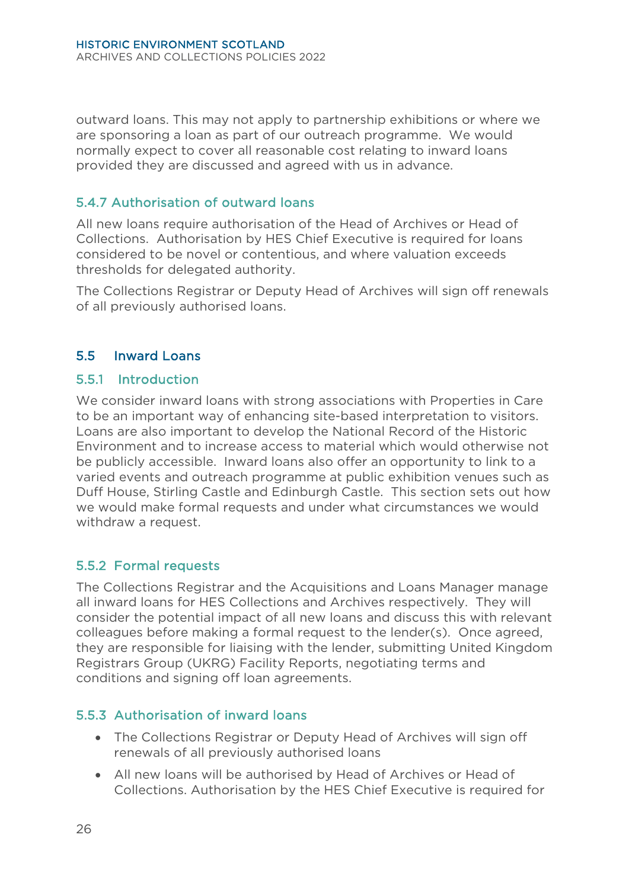outward loans. This may not apply to partnership exhibitions or where we are sponsoring a loan as part of our outreach programme. We would normally expect to cover all reasonable cost relating to inward loans provided they are discussed and agreed with us in advance.

#### 5.4.7 Authorisation of outward loans

All new loans require authorisation of the Head of Archives or Head of Collections. Authorisation by HES Chief Executive is required for loans considered to be novel or contentious, and where valuation exceeds thresholds for delegated authority.

The Collections Registrar or Deputy Head of Archives will sign off renewals of all previously authorised loans.

#### <span id="page-29-0"></span>5.5 Inward Loans

#### 5.5.1 Introduction

We consider inward loans with strong associations with Properties in Care to be an important way of enhancing site-based interpretation to visitors. Loans are also important to develop the National Record of the Historic Environment and to increase access to material which would otherwise not be publicly accessible. Inward loans also offer an opportunity to link to a varied events and outreach programme at public exhibition venues such as Duff House, Stirling Castle and Edinburgh Castle. This section sets out how we would make formal requests and under what circumstances we would withdraw a request.

#### 5.5.2 Formal requests

The Collections Registrar and the Acquisitions and Loans Manager manage all inward loans for HES Collections and Archives respectively. They will consider the potential impact of all new loans and discuss this with relevant colleagues before making a formal request to the lender(s). Once agreed, they are responsible for liaising with the lender, submitting United Kingdom Registrars Group (UKRG) Facility Reports, negotiating terms and conditions and signing off loan agreements.

#### 5.5.3 Authorisation of inward loans

- The Collections Registrar or Deputy Head of Archives will sign off renewals of all previously authorised loans
- All new loans will be authorised by Head of Archives or Head of Collections. Authorisation by the HES Chief Executive is required for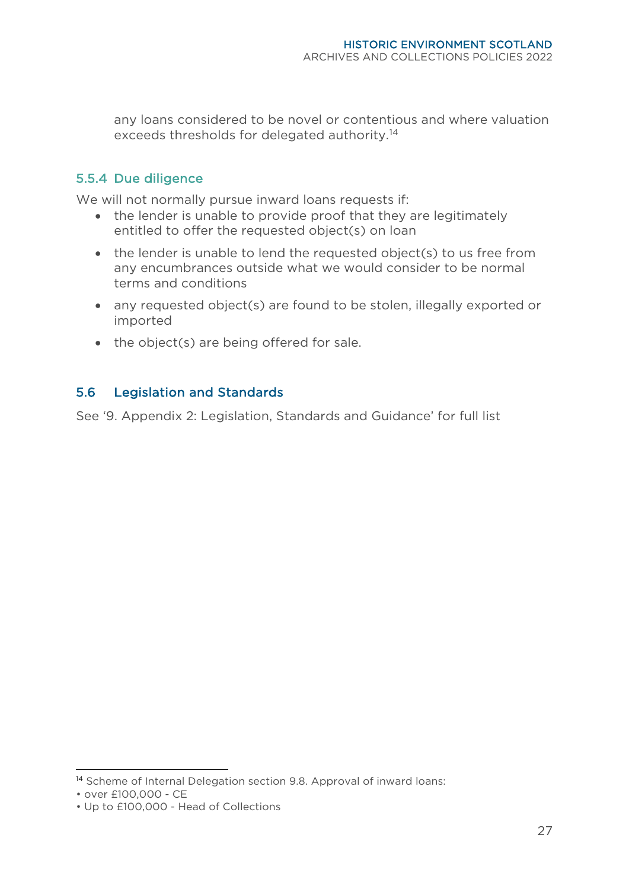any loans considered to be novel or contentious and where valuation exceeds thresholds for delegated authority.[14](#page-30-1)

#### 5.5.4 Due diligence

We will not normally pursue inward loans requests if:

- the lender is unable to provide proof that they are legitimately entitled to offer the requested object(s) on loan
- the lender is unable to lend the requested object(s) to us free from any encumbrances outside what we would consider to be normal terms and conditions
- any requested object(s) are found to be stolen, illegally exported or imported
- the object(s) are being offered for sale.

#### <span id="page-30-0"></span>5.6 Legislation and Standards

See '9. Appendix 2: Legislation, Standards and Guidance' for full list

<span id="page-30-1"></span><sup>&</sup>lt;sup>14</sup> Scheme of Internal Delegation section 9.8. Approval of inward loans:

<sup>•</sup> over £100,000 - CE

<sup>•</sup> Up to £100,000 - Head of Collections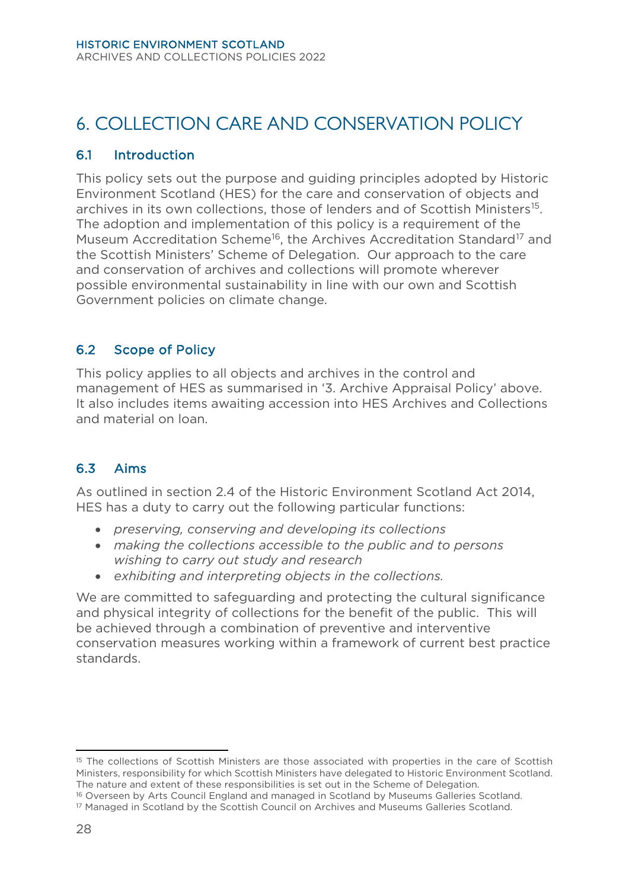# <span id="page-31-0"></span>6. COLLECTION CARE AND CONSERVATION POLICY

#### <span id="page-31-1"></span>6.1 Introduction

This policy sets out the purpose and guiding principles adopted by Historic Environment Scotland (HES) for the care and conservation of objects and archives in its own collections, those of lenders and of Scottish Ministers<sup>15</sup>. The adoption and implementation of this policy is a requirement of the Museum Accreditation Scheme<sup>[16](#page-31-6)</sup>, the Archives Accreditation Standard<sup>[17](#page-31-7)</sup> and the Scottish Ministers' Scheme of Delegation. Our approach to the care and conservation of archives and collections will promote wherever possible environmental sustainability in line with our own and Scottish Government policies on climate change.

# <span id="page-31-2"></span>6.2 Scope of Policy

This policy applies to all objects and archives in the control and management of HES as summarised in '3. Archive Appraisal Policy' above. It also includes items awaiting accession into HES Archives and Collections and material on loan.

# <span id="page-31-3"></span>6.3 Aims

As outlined in section 2.4 of the Historic Environment Scotland Act 2014, HES has a duty to carry out the following particular functions:

- *preserving, conserving and developing its collections*
- *making the collections accessible to the public and to persons wishing to carry out study and research*
- *exhibiting and interpreting objects in the collections.*

<span id="page-31-4"></span>We are committed to safeguarding and protecting the cultural significance and physical integrity of collections for the benefit of the public. This will be achieved through a combination of preventive and interventive conservation measures working within a framework of current best practice standards.

<span id="page-31-5"></span><sup>&</sup>lt;sup>15</sup> The collections of Scottish Ministers are those associated with properties in the care of Scottish Ministers, responsibility for which Scottish Ministers have delegated to Historic Environment Scotland. The nature and extent of these responsibilities is set out in the Scheme of Delegation.

<span id="page-31-6"></span><sup>&</sup>lt;sup>16</sup> Overseen by Arts Council England and managed in Scotland by Museums Galleries Scotland.<br><sup>17</sup> Managed in Scotland by the Scottish Council on Archives and Museums Galleries Scotland.

<span id="page-31-7"></span>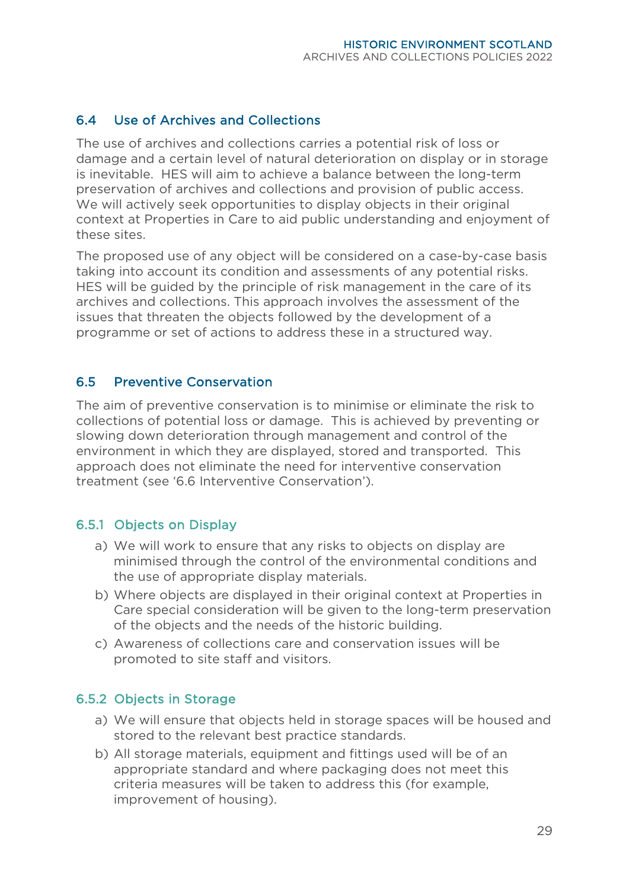#### 6.4 Use of Archives and Collections

The use of archives and collections carries a potential risk of loss or damage and a certain level of natural deterioration on display or in storage is inevitable. HES will aim to achieve a balance between the long-term preservation of archives and collections and provision of public access. We will actively seek opportunities to display objects in their original context at Properties in Care to aid public understanding and enjoyment of these sites.

The proposed use of any object will be considered on a case-by-case basis taking into account its condition and assessments of any potential risks. HES will be guided by the principle of risk management in the care of its archives and collections. This approach involves the assessment of the issues that threaten the objects followed by the development of a programme or set of actions to address these in a structured way.

#### <span id="page-32-0"></span>6.5 Preventive Conservation

The aim of preventive conservation is to minimise or eliminate the risk to collections of potential loss or damage. This is achieved by preventing or slowing down deterioration through management and control of the environment in which they are displayed, stored and transported. This approach does not eliminate the need for interventive conservation treatment (see '6.6 Interventive Conservation').

#### 6.5.1 Objects on Display

- a) We will work to ensure that any risks to objects on display are minimised through the control of the environmental conditions and the use of appropriate display materials.
- b) Where objects are displayed in their original context at Properties in Care special consideration will be given to the long-term preservation of the objects and the needs of the historic building.
- c) Awareness of collections care and conservation issues will be promoted to site staff and visitors.

#### 6.5.2 Objects in Storage

- a) We will ensure that objects held in storage spaces will be housed and stored to the relevant best practice standards.
- b) All storage materials, equipment and fittings used will be of an appropriate standard and where packaging does not meet this criteria measures will be taken to address this (for example, improvement of housing).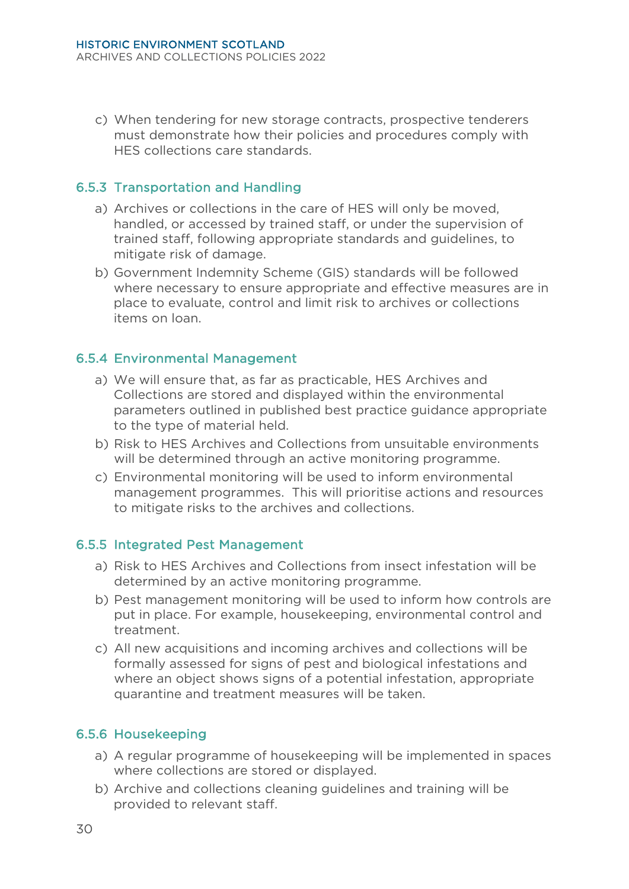c) When tendering for new storage contracts, prospective tenderers must demonstrate how their policies and procedures comply with HES collections care standards.

#### 6.5.3 Transportation and Handling

- a) Archives or collections in the care of HES will only be moved, handled, or accessed by trained staff, or under the supervision of trained staff, following appropriate standards and guidelines, to mitigate risk of damage.
- b) Government Indemnity Scheme (GIS) standards will be followed where necessary to ensure appropriate and effective measures are in place to evaluate, control and limit risk to archives or collections items on loan.

#### 6.5.4 Environmental Management

- a) We will ensure that, as far as practicable, HES Archives and Collections are stored and displayed within the environmental parameters outlined in published best practice guidance appropriate to the type of material held.
- b) Risk to HES Archives and Collections from unsuitable environments will be determined through an active monitoring programme.
- c) Environmental monitoring will be used to inform environmental management programmes. This will prioritise actions and resources to mitigate risks to the archives and collections.

#### 6.5.5 Integrated Pest Management

- a) Risk to HES Archives and Collections from insect infestation will be determined by an active monitoring programme.
- b) Pest management monitoring will be used to inform how controls are put in place. For example, housekeeping, environmental control and treatment.
- c) All new acquisitions and incoming archives and collections will be formally assessed for signs of pest and biological infestations and where an object shows signs of a potential infestation, appropriate quarantine and treatment measures will be taken.

#### 6.5.6 Housekeeping

- a) A regular programme of housekeeping will be implemented in spaces where collections are stored or displayed.
- b) Archive and collections cleaning guidelines and training will be provided to relevant staff.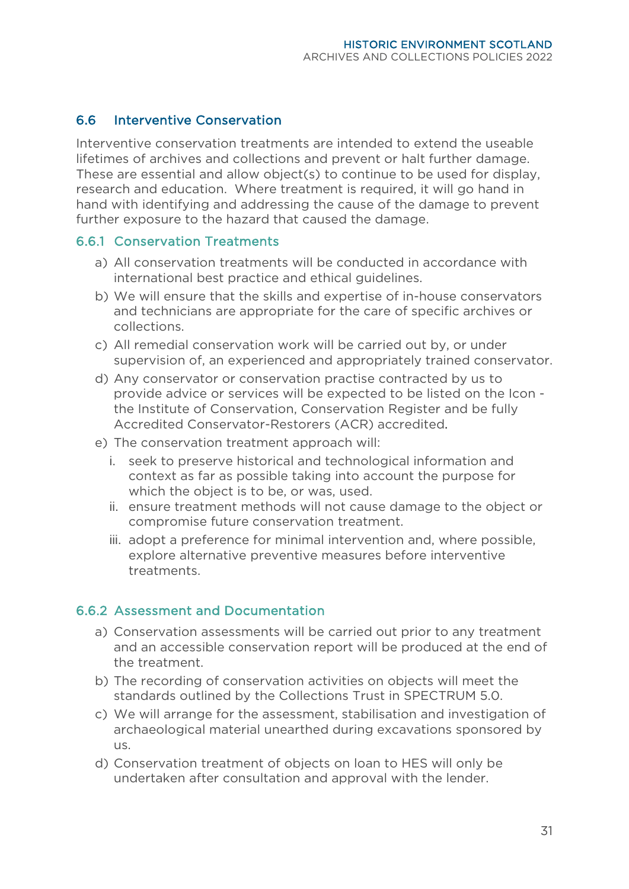#### <span id="page-34-0"></span>6.6 Interventive Conservation

Interventive conservation treatments are intended to extend the useable lifetimes of archives and collections and prevent or halt further damage. These are essential and allow object(s) to continue to be used for display, research and education. Where treatment is required, it will go hand in hand with identifying and addressing the cause of the damage to prevent further exposure to the hazard that caused the damage.

#### 6.6.1 Conservation Treatments

- a) All conservation treatments will be conducted in accordance with international best practice and ethical guidelines.
- b) We will ensure that the skills and expertise of in-house conservators and technicians are appropriate for the care of specific archives or collections.
- c) All remedial conservation work will be carried out by, or under supervision of, an experienced and appropriately trained conservator.
- d) Any conservator or conservation practise contracted by us to provide advice or services will be expected to be listed on the Icon the Institute of Conservation, Conservation Register and be fully Accredited Conservator-Restorers (ACR) accredited.
- e) The conservation treatment approach will:
	- i. seek to preserve historical and technological information and context as far as possible taking into account the purpose for which the object is to be, or was, used.
	- ii. ensure treatment methods will not cause damage to the object or compromise future conservation treatment.
	- iii. adopt a preference for minimal intervention and, where possible, explore alternative preventive measures before interventive treatments.

#### 6.6.2 Assessment and Documentation

- a) Conservation assessments will be carried out prior to any treatment and an accessible conservation report will be produced at the end of the treatment.
- b) The recording of conservation activities on objects will meet the standards outlined by the Collections Trust in SPECTRUM 5.0.
- c) We will arrange for the assessment, stabilisation and investigation of archaeological material unearthed during excavations sponsored by us.
- d) Conservation treatment of objects on loan to HES will only be undertaken after consultation and approval with the lender.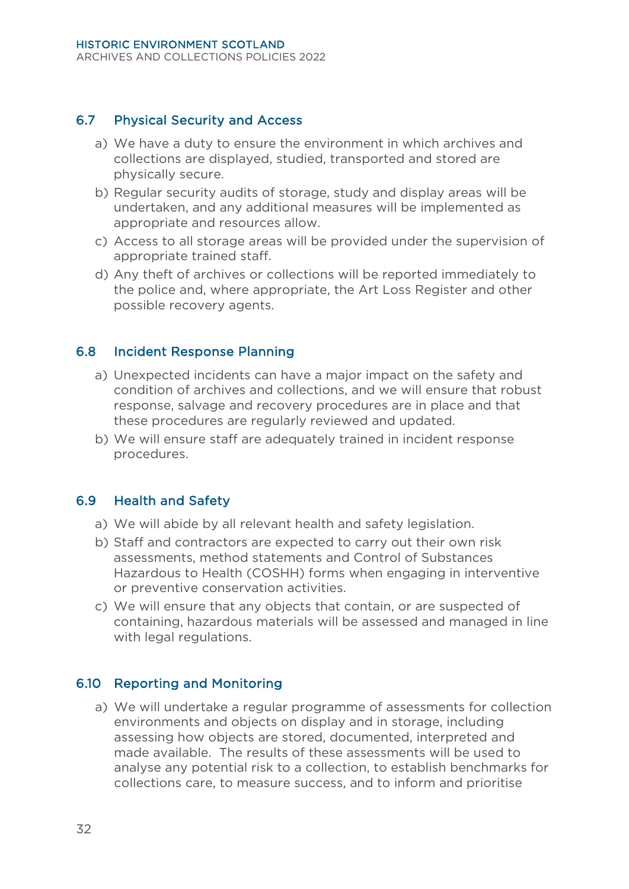#### <span id="page-35-0"></span>6.7 Physical Security and Access

- a) We have a duty to ensure the environment in which archives and collections are displayed, studied, transported and stored are physically secure.
- b) Regular security audits of storage, study and display areas will be undertaken, and any additional measures will be implemented as appropriate and resources allow.
- c) Access to all storage areas will be provided under the supervision of appropriate trained staff.
- d) Any theft of archives or collections will be reported immediately to the police and, where appropriate, the Art Loss Register and other possible recovery agents.

#### <span id="page-35-1"></span>6.8 Incident Response Planning

- a) Unexpected incidents can have a major impact on the safety and condition of archives and collections, and we will ensure that robust response, salvage and recovery procedures are in place and that these procedures are regularly reviewed and updated.
- b) We will ensure staff are adequately trained in incident response procedures.

#### <span id="page-35-2"></span>6.9 Health and Safety

- a) We will abide by all relevant health and safety legislation.
- b) Staff and contractors are expected to carry out their own risk assessments, method statements and Control of Substances Hazardous to Health (COSHH) forms when engaging in interventive or preventive conservation activities.
- c) We will ensure that any objects that contain, or are suspected of containing, hazardous materials will be assessed and managed in line with legal regulations.

#### <span id="page-35-3"></span>6.10 Reporting and Monitoring

a) We will undertake a regular programme of assessments for collection environments and objects on display and in storage, including assessing how objects are stored, documented, interpreted and made available. The results of these assessments will be used to analyse any potential risk to a collection, to establish benchmarks for collections care, to measure success, and to inform and prioritise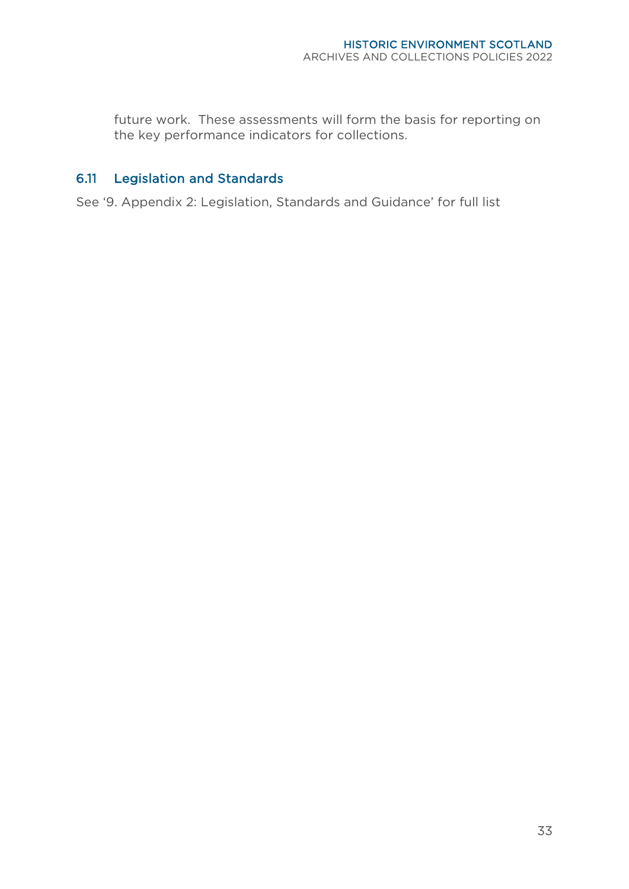future work. These assessments will form the basis for reporting on the key performance indicators for collections.

# <span id="page-36-0"></span>6.11 Legislation and Standards

See '9. Appendix 2: Legislation, Standards and Guidance' for full list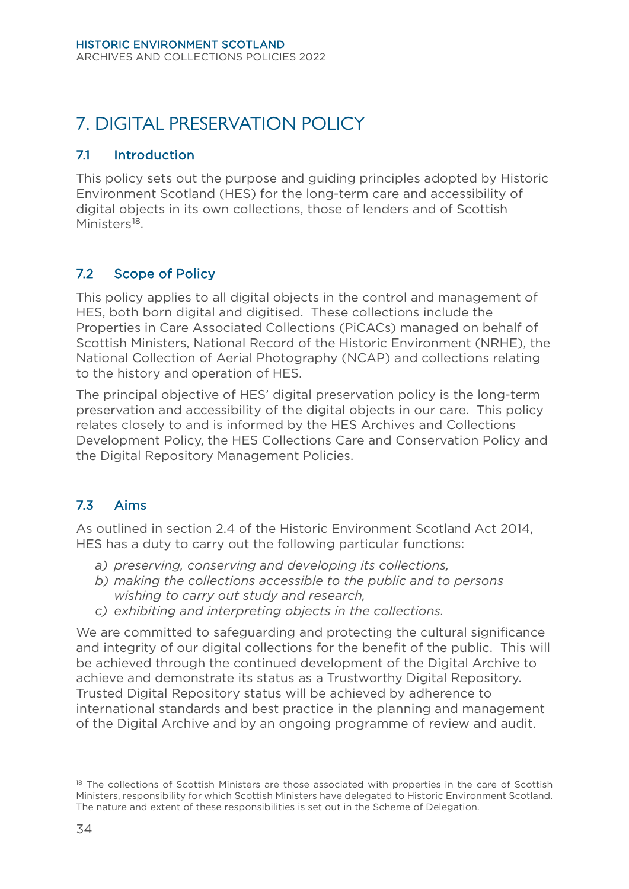# <span id="page-37-0"></span>7. DIGITAL PRESERVATION POLICY

#### <span id="page-37-1"></span>7.1 Introduction

This policy sets out the purpose and guiding principles adopted by Historic Environment Scotland (HES) for the long-term care and accessibility of digital objects in its own collections, those of lenders and of Scottish Ministers<sup>18</sup>.

# <span id="page-37-2"></span>7.2 Scope of Policy

This policy applies to all digital objects in the control and management of HES, both born digital and digitised. These collections include the Properties in Care Associated Collections (PiCACs) managed on behalf of Scottish Ministers, National Record of the Historic Environment (NRHE), the National Collection of Aerial Photography (NCAP) and collections relating to the history and operation of HES.

The principal objective of HES' digital preservation policy is the long-term preservation and accessibility of the digital objects in our care. This policy relates closely to and is informed by the HES Archives and Collections Development Policy, the HES Collections Care and Conservation Policy and the Digital Repository Management Policies.

# <span id="page-37-3"></span>7.3 Aims

As outlined in section 2.4 of the Historic Environment Scotland Act 2014, HES has a duty to carry out the following particular functions:

- *a) preserving, conserving and developing its collections,*
- *b) making the collections accessible to the public and to persons wishing to carry out study and research,*
- *c) exhibiting and interpreting objects in the collections.*

We are committed to safeguarding and protecting the cultural significance and integrity of our digital collections for the benefit of the public. This will be achieved through the continued development of the Digital Archive to achieve and demonstrate its status as a Trustworthy Digital Repository. Trusted Digital Repository status will be achieved by adherence to international standards and best practice in the planning and management of the Digital Archive and by an ongoing programme of review and audit.

<span id="page-37-4"></span><sup>&</sup>lt;sup>18</sup> The collections of Scottish Ministers are those associated with properties in the care of Scottish Ministers, responsibility for which Scottish Ministers have delegated to Historic Environment Scotland. The nature and extent of these responsibilities is set out in the Scheme of Delegation.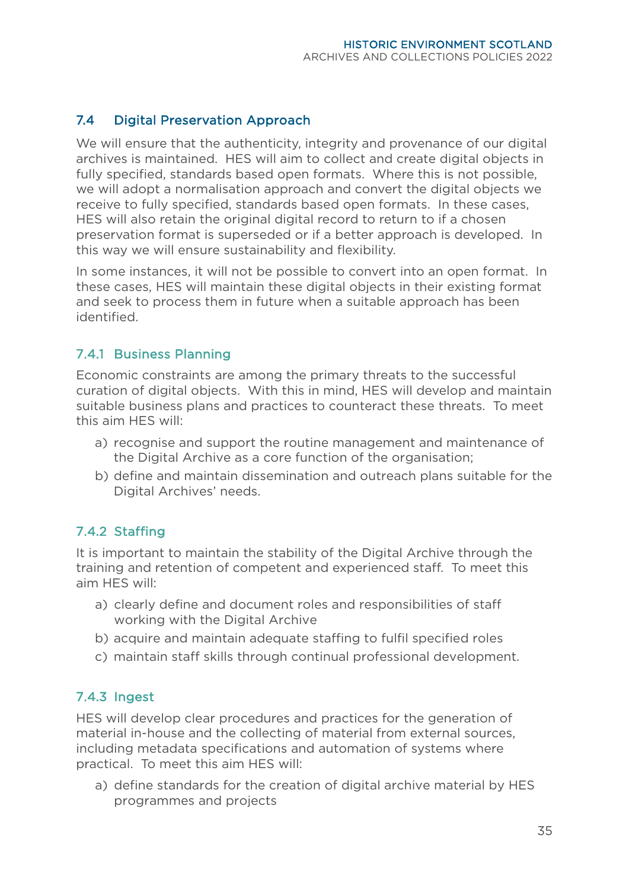# <span id="page-38-0"></span>7.4 Digital Preservation Approach

We will ensure that the authenticity, integrity and provenance of our digital archives is maintained. HES will aim to collect and create digital objects in fully specified, standards based open formats. Where this is not possible, we will adopt a normalisation approach and convert the digital objects we receive to fully specified, standards based open formats. In these cases, HES will also retain the original digital record to return to if a chosen preservation format is superseded or if a better approach is developed. In this way we will ensure sustainability and flexibility.

In some instances, it will not be possible to convert into an open format. In these cases, HES will maintain these digital objects in their existing format and seek to process them in future when a suitable approach has been identified.

#### 7.4.1 Business Planning

Economic constraints are among the primary threats to the successful curation of digital objects. With this in mind, HES will develop and maintain suitable business plans and practices to counteract these threats. To meet this aim HES will:

- a) recognise and support the routine management and maintenance of the Digital Archive as a core function of the organisation;
- b) define and maintain dissemination and outreach plans suitable for the Digital Archives' needs.

# 7.4.2 Staffing

It is important to maintain the stability of the Digital Archive through the training and retention of competent and experienced staff. To meet this aim HES will:

- a) clearly define and document roles and responsibilities of staff working with the Digital Archive
- b) acquire and maintain adequate staffing to fulfil specified roles
- c) maintain staff skills through continual professional development.

#### 7.4.3 Ingest

HES will develop clear procedures and practices for the generation of material in-house and the collecting of material from external sources, including metadata specifications and automation of systems where practical. To meet this aim HES will:

a) define standards for the creation of digital archive material by HES programmes and projects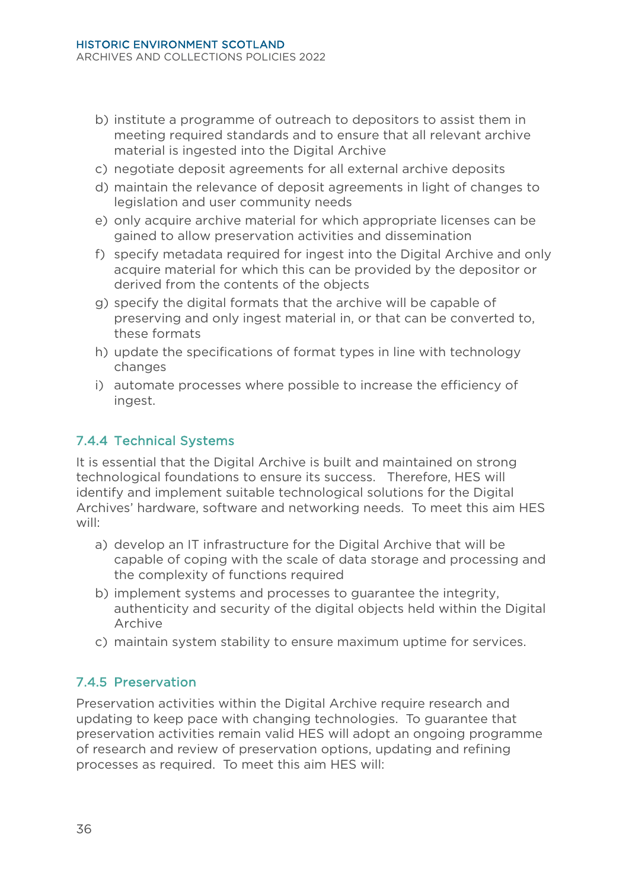- b) institute a programme of outreach to depositors to assist them in meeting required standards and to ensure that all relevant archive material is ingested into the Digital Archive
- c) negotiate deposit agreements for all external archive deposits
- d) maintain the relevance of deposit agreements in light of changes to legislation and user community needs
- e) only acquire archive material for which appropriate licenses can be gained to allow preservation activities and dissemination
- f) specify metadata required for ingest into the Digital Archive and only acquire material for which this can be provided by the depositor or derived from the contents of the objects
- g) specify the digital formats that the archive will be capable of preserving and only ingest material in, or that can be converted to, these formats
- h) update the specifications of format types in line with technology changes
- i) automate processes where possible to increase the efficiency of ingest.

# 7.4.4 Technical Systems

It is essential that the Digital Archive is built and maintained on strong technological foundations to ensure its success. Therefore, HES will identify and implement suitable technological solutions for the Digital Archives' hardware, software and networking needs. To meet this aim HES will:

- a) develop an IT infrastructure for the Digital Archive that will be capable of coping with the scale of data storage and processing and the complexity of functions required
- b) implement systems and processes to guarantee the integrity, authenticity and security of the digital objects held within the Digital Archive
- c) maintain system stability to ensure maximum uptime for services.

# 7.4.5 Preservation

Preservation activities within the Digital Archive require research and updating to keep pace with changing technologies. To guarantee that preservation activities remain valid HES will adopt an ongoing programme of research and review of preservation options, updating and refining processes as required. To meet this aim HES will: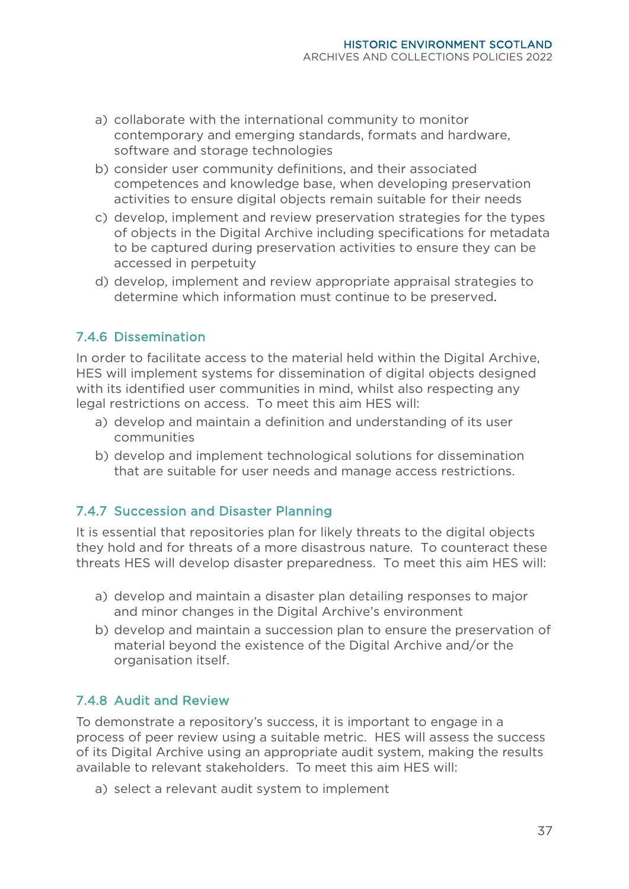- a) collaborate with the international community to monitor contemporary and emerging standards, formats and hardware, software and storage technologies
- b) consider user community definitions, and their associated competences and knowledge base, when developing preservation activities to ensure digital objects remain suitable for their needs
- c) develop, implement and review preservation strategies for the types of objects in the Digital Archive including specifications for metadata to be captured during preservation activities to ensure they can be accessed in perpetuity
- d) develop, implement and review appropriate appraisal strategies to determine which information must continue to be preserved.

#### 7.4.6 Dissemination

In order to facilitate access to the material held within the Digital Archive, HES will implement systems for dissemination of digital objects designed with its identified user communities in mind, whilst also respecting any legal restrictions on access. To meet this aim HES will:

- a) develop and maintain a definition and understanding of its user communities
- b) develop and implement technological solutions for dissemination that are suitable for user needs and manage access restrictions.

#### 7.4.7 Succession and Disaster Planning

It is essential that repositories plan for likely threats to the digital objects they hold and for threats of a more disastrous nature. To counteract these threats HES will develop disaster preparedness. To meet this aim HES will:

- a) develop and maintain a disaster plan detailing responses to major and minor changes in the Digital Archive's environment
- b) develop and maintain a succession plan to ensure the preservation of material beyond the existence of the Digital Archive and/or the organisation itself.

#### 7.4.8 Audit and Review

To demonstrate a repository's success, it is important to engage in a process of peer review using a suitable metric. HES will assess the success of its Digital Archive using an appropriate audit system, making the results available to relevant stakeholders. To meet this aim HES will:

a) select a relevant audit system to implement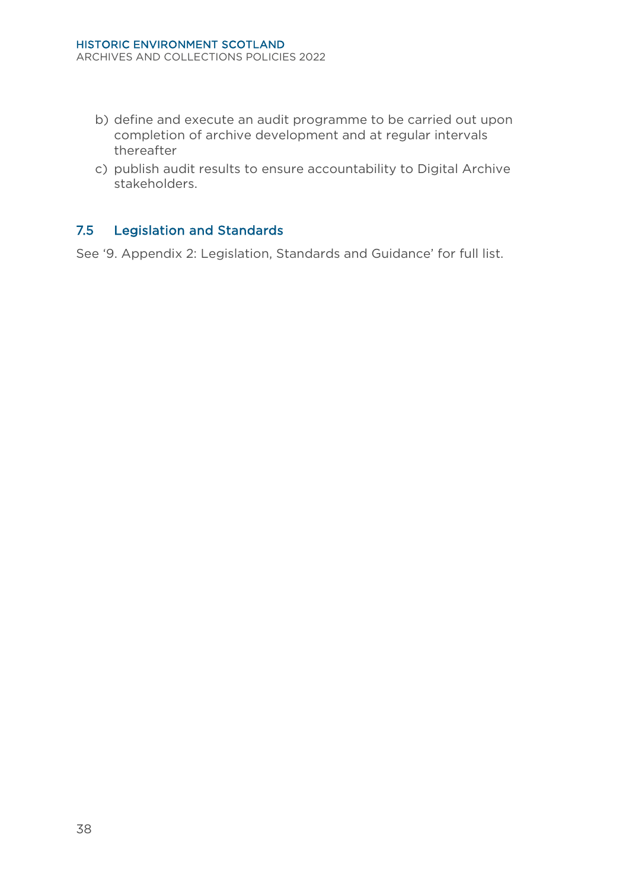- b) define and execute an audit programme to be carried out upon completion of archive development and at regular intervals thereafter
- c) publish audit results to ensure accountability to Digital Archive stakeholders.

# <span id="page-41-0"></span>7.5 Legislation and Standards

See '9. Appendix 2: Legislation, Standards and Guidance' for full list.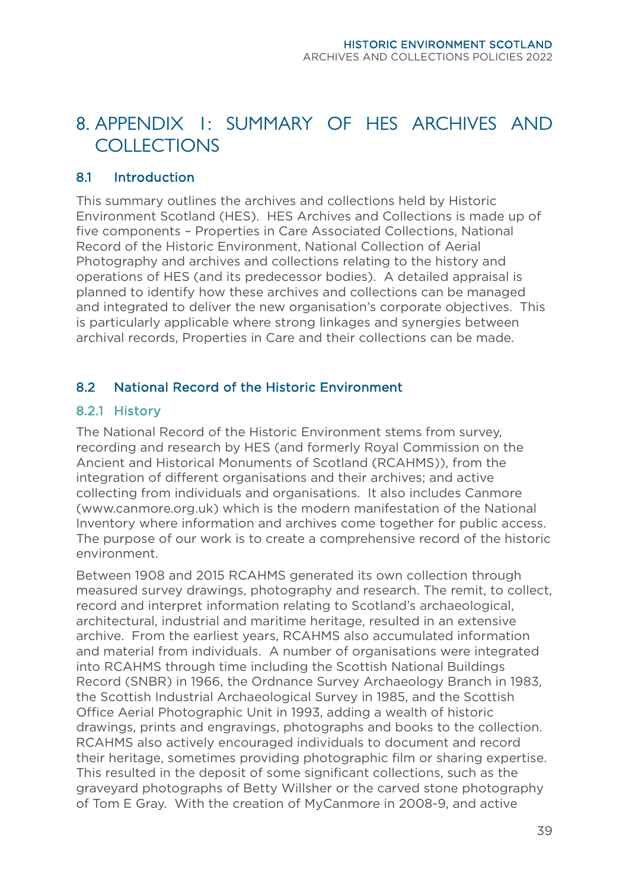# <span id="page-42-0"></span>8. APPENDIX 1: SUMMARY OF HES ARCHIVES AND COLLECTIONS

#### <span id="page-42-1"></span>8.1 Introduction

This summary outlines the archives and collections held by Historic Environment Scotland (HES). HES Archives and Collections is made up of five components – Properties in Care Associated Collections, National Record of the Historic Environment, National Collection of Aerial Photography and archives and collections relating to the history and operations of HES (and its predecessor bodies). A detailed appraisal is planned to identify how these archives and collections can be managed and integrated to deliver the new organisation's corporate objectives. This is particularly applicable where strong linkages and synergies between archival records, Properties in Care and their collections can be made.

#### <span id="page-42-2"></span>8.2 National Record of the Historic Environment

#### 8.2.1 History

The National Record of the Historic Environment stems from survey, recording and research by HES (and formerly Royal Commission on the Ancient and Historical Monuments of Scotland (RCAHMS)), from the integration of different organisations and their archives; and active collecting from individuals and organisations. It also includes Canmore [\(www.canmore.org.uk\)](http://www.canmore.org.uk/) which is the modern manifestation of the National Inventory where information and archives come together for public access. The purpose of our work is to create a comprehensive record of the historic environment.

Between 1908 and 2015 RCAHMS generated its own collection through measured survey drawings, photography and research. The remit, to collect, record and interpret information relating to Scotland's archaeological, architectural, industrial and maritime heritage, resulted in an extensive archive. From the earliest years, RCAHMS also accumulated information and material from individuals. A number of organisations were integrated into RCAHMS through time including the Scottish National Buildings Record (SNBR) in 1966, the Ordnance Survey Archaeology Branch in 1983, the Scottish Industrial Archaeological Survey in 1985, and the Scottish Office Aerial Photographic Unit in 1993, adding a wealth of historic drawings, prints and engravings, photographs and books to the collection. RCAHMS also actively encouraged individuals to document and record their heritage, sometimes providing photographic film or sharing expertise. This resulted in the deposit of some significant collections, such as the graveyard photographs of Betty Willsher or the carved stone photography of Tom E Gray. With the creation of MyCanmore in 2008-9, and active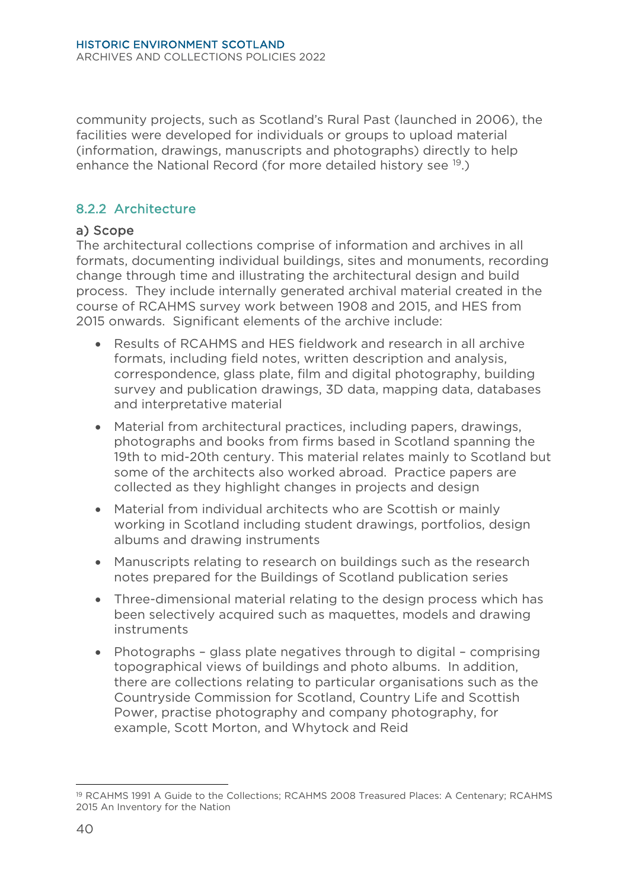community projects, such as Scotland's Rural Past (launched in 2006), the facilities were developed for individuals or groups to upload material (information, drawings, manuscripts and photographs) directly to help enhance the National Record (for more detailed history see <sup>19</sup>.)

# 8.2.2 Architecture

#### a) Scope

The architectural collections comprise of information and archives in all formats, documenting individual buildings, sites and monuments, recording change through time and illustrating the architectural design and build process. They include internally generated archival material created in the course of RCAHMS survey work between 1908 and 2015, and HES from 2015 onwards. Significant elements of the archive include:

- Results of RCAHMS and HES fieldwork and research in all archive formats, including field notes, written description and analysis, correspondence, glass plate, film and digital photography, building survey and publication drawings, 3D data, mapping data, databases and interpretative material
- Material from architectural practices, including papers, drawings, photographs and books from firms based in Scotland spanning the 19th to mid-20th century. This material relates mainly to Scotland but some of the architects also worked abroad. Practice papers are collected as they highlight changes in projects and design
- Material from individual architects who are Scottish or mainly working in Scotland including student drawings, portfolios, design albums and drawing instruments
- Manuscripts relating to research on buildings such as the research notes prepared for the Buildings of Scotland publication series
- Three-dimensional material relating to the design process which has been selectively acquired such as maquettes, models and drawing instruments
- Photographs glass plate negatives through to digital comprising topographical views of buildings and photo albums. In addition, there are collections relating to particular organisations such as the Countryside Commission for Scotland, Country Life and Scottish Power, practise photography and company photography, for example, Scott Morton, and Whytock and Reid

<span id="page-43-0"></span><sup>19</sup> RCAHMS 1991 A Guide to the Collections; RCAHMS 2008 Treasured Places: A Centenary; RCAHMS 2015 An Inventory for the Nation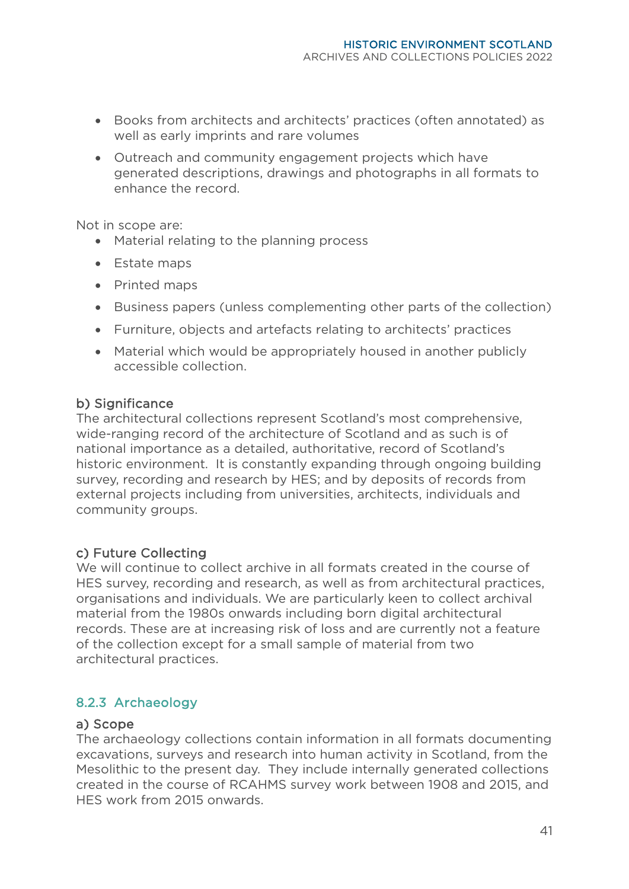- Books from architects and architects' practices (often annotated) as well as early imprints and rare volumes
- Outreach and community engagement projects which have generated descriptions, drawings and photographs in all formats to enhance the record.

Not in scope are:

- Material relating to the planning process
- Estate maps
- Printed maps
- Business papers (unless complementing other parts of the collection)
- Furniture, objects and artefacts relating to architects' practices
- Material which would be appropriately housed in another publicly accessible collection.

#### b) Significance

The architectural collections represent Scotland's most comprehensive, wide-ranging record of the architecture of Scotland and as such is of national importance as a detailed, authoritative, record of Scotland's historic environment. It is constantly expanding through ongoing building survey, recording and research by HES; and by deposits of records from external projects including from universities, architects, individuals and community groups.

#### c) Future Collecting

We will continue to collect archive in all formats created in the course of HES survey, recording and research, as well as from architectural practices, organisations and individuals. We are particularly keen to collect archival material from the 1980s onwards including born digital architectural records. These are at increasing risk of loss and are currently not a feature of the collection except for a small sample of material from two architectural practices.

#### 8.2.3 Archaeology

#### a) Scope

The archaeology collections contain information in all formats documenting excavations, surveys and research into human activity in Scotland, from the Mesolithic to the present day. They include internally generated collections created in the course of RCAHMS survey work between 1908 and 2015, and HES work from 2015 onwards.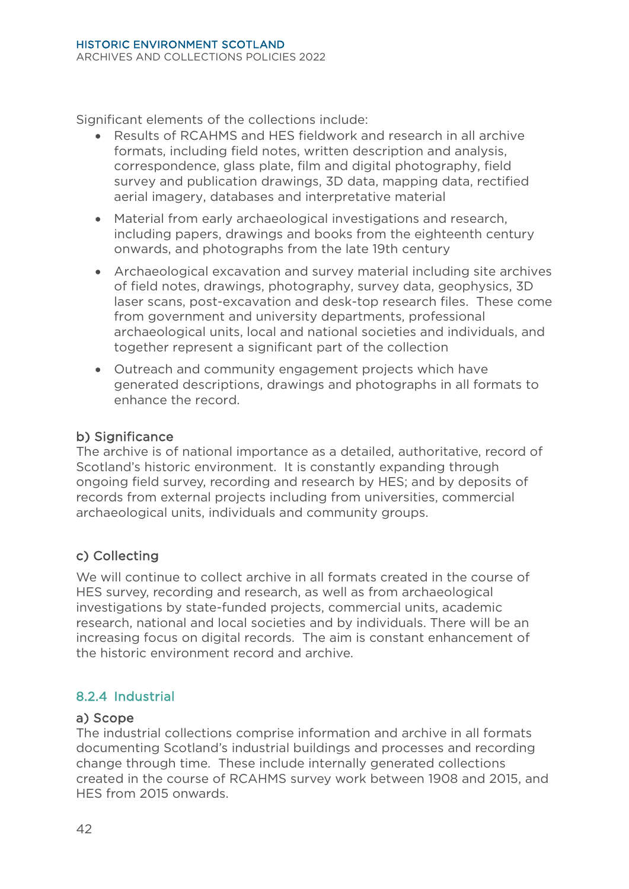Significant elements of the collections include:

- Results of RCAHMS and HES fieldwork and research in all archive formats, including field notes, written description and analysis, correspondence, glass plate, film and digital photography, field survey and publication drawings, 3D data, mapping data, rectified aerial imagery, databases and interpretative material
- Material from early archaeological investigations and research, including papers, drawings and books from the eighteenth century onwards, and photographs from the late 19th century
- Archaeological excavation and survey material including site archives of field notes, drawings, photography, survey data, geophysics, 3D laser scans, post-excavation and desk-top research files. These come from government and university departments, professional archaeological units, local and national societies and individuals, and together represent a significant part of the collection
- Outreach and community engagement projects which have generated descriptions, drawings and photographs in all formats to enhance the record.

#### b) Significance

The archive is of national importance as a detailed, authoritative, record of Scotland's historic environment. It is constantly expanding through ongoing field survey, recording and research by HES; and by deposits of records from external projects including from universities, commercial archaeological units, individuals and community groups.

# c) Collecting

We will continue to collect archive in all formats created in the course of HES survey, recording and research, as well as from archaeological investigations by state-funded projects, commercial units, academic research, national and local societies and by individuals. There will be an increasing focus on digital records. The aim is constant enhancement of the historic environment record and archive.

# 8.2.4 Industrial

#### a) Scope

The industrial collections comprise information and archive in all formats documenting Scotland's industrial buildings and processes and recording change through time. These include internally generated collections created in the course of RCAHMS survey work between 1908 and 2015, and HES from 2015 onwards.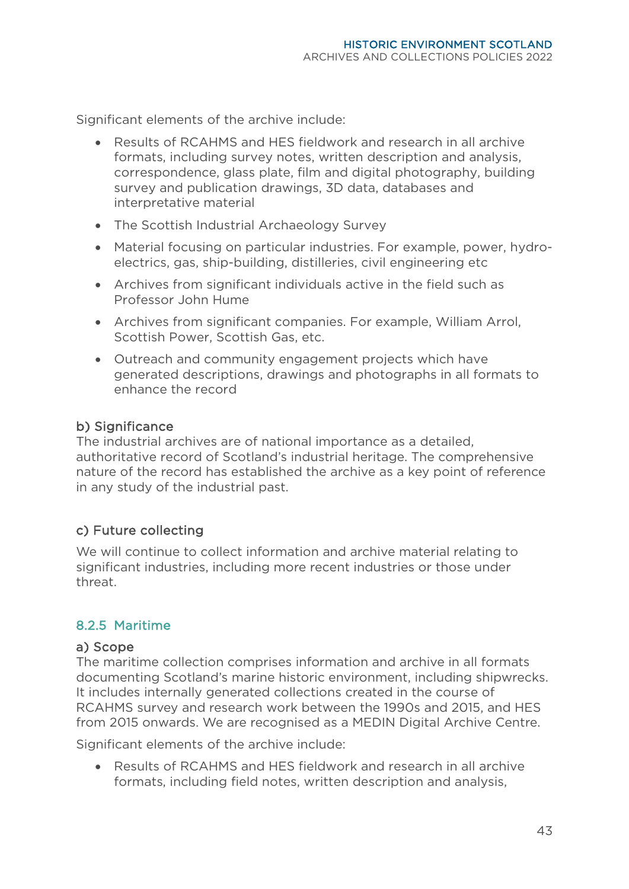Significant elements of the archive include:

- Results of RCAHMS and HES fieldwork and research in all archive formats, including survey notes, written description and analysis, correspondence, glass plate, film and digital photography, building survey and publication drawings, 3D data, databases and interpretative material
- The Scottish Industrial Archaeology Survey
- Material focusing on particular industries. For example, power, hydroelectrics, gas, ship-building, distilleries, civil engineering etc
- Archives from significant individuals active in the field such as Professor John Hume
- Archives from significant companies. For example, William Arrol, Scottish Power, Scottish Gas, etc.
- Outreach and community engagement projects which have generated descriptions, drawings and photographs in all formats to enhance the record

#### b) Significance

The industrial archives are of national importance as a detailed, authoritative record of Scotland's industrial heritage. The comprehensive nature of the record has established the archive as a key point of reference in any study of the industrial past.

#### c) Future collecting

We will continue to collect information and archive material relating to significant industries, including more recent industries or those under threat.

#### 8.2.5 Maritime

#### a) Scope

The maritime collection comprises information and archive in all formats documenting Scotland's marine historic environment, including shipwrecks. It includes internally generated collections created in the course of RCAHMS survey and research work between the 1990s and 2015, and HES from 2015 onwards. We are recognised as a MEDIN Digital Archive Centre.

Significant elements of the archive include:

• Results of RCAHMS and HES fieldwork and research in all archive formats, including field notes, written description and analysis,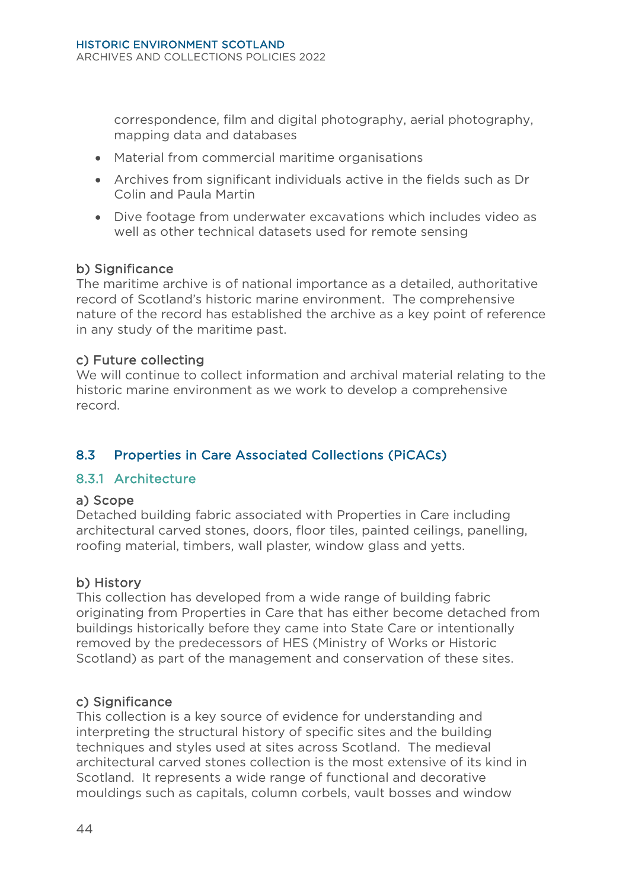correspondence, film and digital photography, aerial photography, mapping data and databases

- Material from commercial maritime organisations
- Archives from significant individuals active in the fields such as Dr Colin and Paula Martin
- Dive footage from underwater excavations which includes video as well as other technical datasets used for remote sensing

#### b) Significance

The maritime archive is of national importance as a detailed, authoritative record of Scotland's historic marine environment. The comprehensive nature of the record has established the archive as a key point of reference in any study of the maritime past.

#### c) Future collecting

We will continue to collect information and archival material relating to the historic marine environment as we work to develop a comprehensive record.

# <span id="page-47-0"></span>8.3 Properties in Care Associated Collections (PiCACs)

#### 8.3.1 Architecture

#### a) Scope

Detached building fabric associated with Properties in Care including architectural carved stones, doors, floor tiles, painted ceilings, panelling, roofing material, timbers, wall plaster, window glass and yetts.

#### b) History

This collection has developed from a wide range of building fabric originating from Properties in Care that has either become detached from buildings historically before they came into State Care or intentionally removed by the predecessors of HES (Ministry of Works or Historic Scotland) as part of the management and conservation of these sites.

#### c) Significance

This collection is a key source of evidence for understanding and interpreting the structural history of specific sites and the building techniques and styles used at sites across Scotland. The medieval architectural carved stones collection is the most extensive of its kind in Scotland. It represents a wide range of functional and decorative mouldings such as capitals, column corbels, vault bosses and window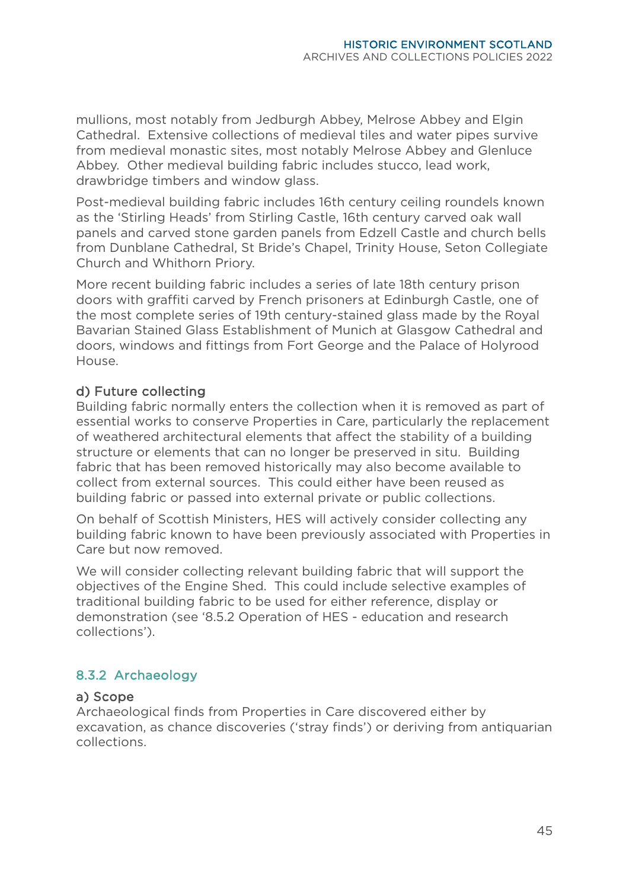mullions, most notably from Jedburgh Abbey, Melrose Abbey and Elgin Cathedral. Extensive collections of medieval tiles and water pipes survive from medieval monastic sites, most notably Melrose Abbey and Glenluce Abbey. Other medieval building fabric includes stucco, lead work, drawbridge timbers and window glass.

Post-medieval building fabric includes 16th century ceiling roundels known as the 'Stirling Heads' from Stirling Castle, 16th century carved oak wall panels and carved stone garden panels from Edzell Castle and church bells from Dunblane Cathedral, St Bride's Chapel, Trinity House, Seton Collegiate Church and Whithorn Priory.

More recent building fabric includes a series of late 18th century prison doors with graffiti carved by French prisoners at Edinburgh Castle, one of the most complete series of 19th century-stained glass made by the Royal Bavarian Stained Glass Establishment of Munich at Glasgow Cathedral and doors, windows and fittings from Fort George and the Palace of Holyrood House.

#### d) Future collecting

Building fabric normally enters the collection when it is removed as part of essential works to conserve Properties in Care, particularly the replacement of weathered architectural elements that affect the stability of a building structure or elements that can no longer be preserved in situ. Building fabric that has been removed historically may also become available to collect from external sources. This could either have been reused as building fabric or passed into external private or public collections.

On behalf of Scottish Ministers, HES will actively consider collecting any building fabric known to have been previously associated with Properties in Care but now removed.

We will consider collecting relevant building fabric that will support the objectives of the Engine Shed. This could include selective examples of traditional building fabric to be used for either reference, display or demonstration (see '8.5.2 Operation of HES - education and research collections').

# 8.3.2 Archaeology

#### a) Scope

Archaeological finds from Properties in Care discovered either by excavation, as chance discoveries ('stray finds') or deriving from antiquarian collections.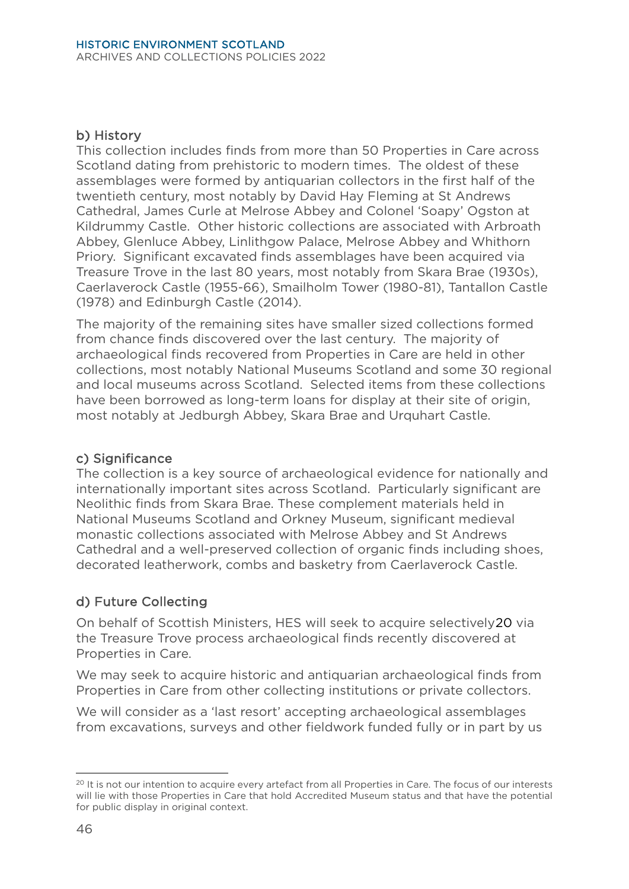#### b) History

This collection includes finds from more than 50 Properties in Care across Scotland dating from prehistoric to modern times. The oldest of these assemblages were formed by antiquarian collectors in the first half of the twentieth century, most notably by David Hay Fleming at St Andrews Cathedral, James Curle at Melrose Abbey and Colonel 'Soapy' Ogston at Kildrummy Castle. Other historic collections are associated with Arbroath Abbey, Glenluce Abbey, Linlithgow Palace, Melrose Abbey and Whithorn Priory. Significant excavated finds assemblages have been acquired via Treasure Trove in the last 80 years, most notably from Skara Brae (1930s), Caerlaverock Castle (1955-66), Smailholm Tower (1980-81), Tantallon Castle (1978) and Edinburgh Castle (2014).

The majority of the remaining sites have smaller sized collections formed from chance finds discovered over the last century. The majority of archaeological finds recovered from Properties in Care are held in other collections, most notably National Museums Scotland and some 30 regional and local museums across Scotland. Selected items from these collections have been borrowed as long-term loans for display at their site of origin, most notably at Jedburgh Abbey, Skara Brae and Urquhart Castle.

#### c) Significance

The collection is a key source of archaeological evidence for nationally and internationally important sites across Scotland. Particularly significant are Neolithic finds from Skara Brae. These complement materials held in National Museums Scotland and Orkney Museum, significant medieval monastic collections associated with Melrose Abbey and St Andrews Cathedral and a well-preserved collection of organic finds including shoes, decorated leatherwork, combs and basketry from Caerlaverock Castle.

#### d) Future Collecting

On behalf of Scottish Ministers, HES will seek to acquire selectively[20](#page-49-0) via the Treasure Trove process archaeological finds recently discovered at Properties in Care.

We may seek to acquire historic and antiquarian archaeological finds from Properties in Care from other collecting institutions or private collectors.

We will consider as a 'last resort' accepting archaeological assemblages from excavations, surveys and other fieldwork funded fully or in part by us

<span id="page-49-0"></span><sup>&</sup>lt;sup>20</sup> It is not our intention to acquire every artefact from all Properties in Care. The focus of our interests will lie with those Properties in Care that hold Accredited Museum status and that have the potential for public display in original context.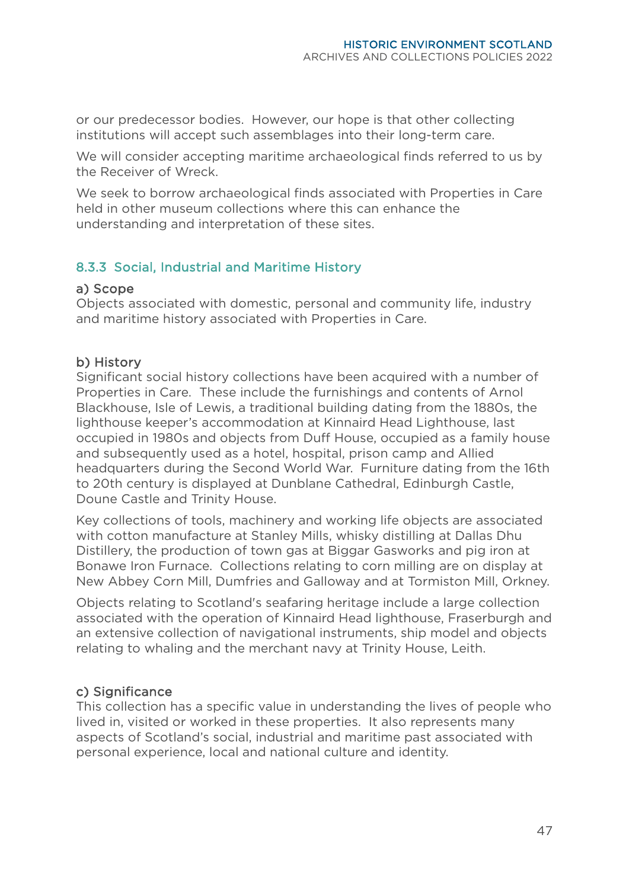or our predecessor bodies. However, our hope is that other collecting institutions will accept such assemblages into their long-term care.

We will consider accepting maritime archaeological finds referred to us by the Receiver of Wreck.

We seek to borrow archaeological finds associated with Properties in Care held in other museum collections where this can enhance the understanding and interpretation of these sites.

# 8.3.3 Social, Industrial and Maritime History

#### a) Scope

Objects associated with domestic, personal and community life, industry and maritime history associated with Properties in Care.

#### b) History

Significant social history collections have been acquired with a number of Properties in Care. These include the furnishings and contents of Arnol Blackhouse, Isle of Lewis, a traditional building dating from the 1880s, the lighthouse keeper's accommodation at Kinnaird Head Lighthouse, last occupied in 1980s and objects from Duff House, occupied as a family house and subsequently used as a hotel, hospital, prison camp and Allied headquarters during the Second World War. Furniture dating from the 16th to 20th century is displayed at Dunblane Cathedral, Edinburgh Castle, Doune Castle and Trinity House.

Key collections of tools, machinery and working life objects are associated with cotton manufacture at Stanley Mills, whisky distilling at Dallas Dhu Distillery, the production of town gas at Biggar Gasworks and pig iron at Bonawe Iron Furnace. Collections relating to corn milling are on display at New Abbey Corn Mill, Dumfries and Galloway and at Tormiston Mill, Orkney.

Objects relating to Scotland's seafaring heritage include a large collection associated with the operation of Kinnaird Head lighthouse, Fraserburgh and an extensive collection of navigational instruments, ship model and objects relating to whaling and the merchant navy at Trinity House, Leith.

#### c) Significance

This collection has a specific value in understanding the lives of people who lived in, visited or worked in these properties. It also represents many aspects of Scotland's social, industrial and maritime past associated with personal experience, local and national culture and identity.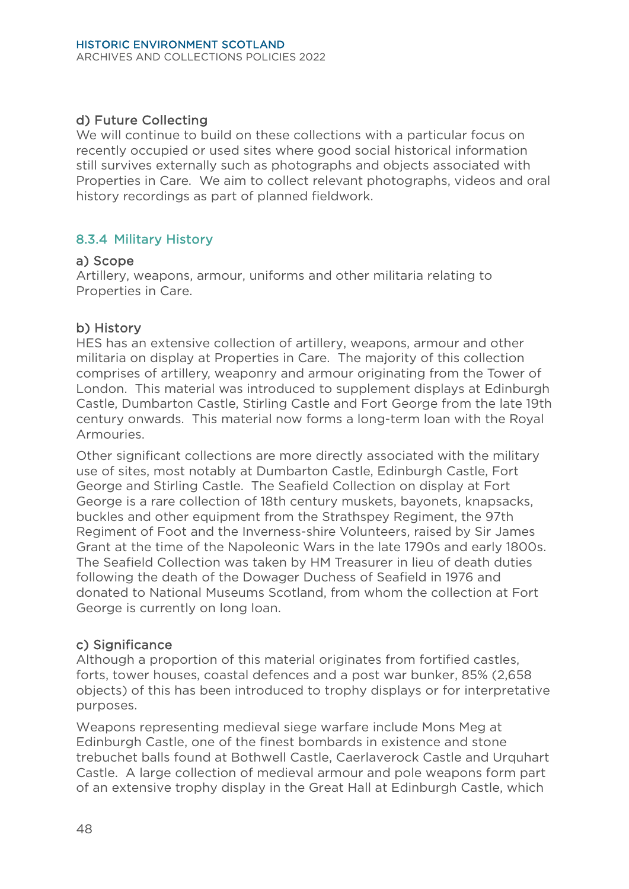# d) Future Collecting

We will continue to build on these collections with a particular focus on recently occupied or used sites where good social historical information still survives externally such as photographs and objects associated with Properties in Care. We aim to collect relevant photographs, videos and oral history recordings as part of planned fieldwork.

#### 8.3.4 Military History

#### a) Scope

Artillery, weapons, armour, uniforms and other militaria relating to Properties in Care.

#### b) History

HES has an extensive collection of artillery, weapons, armour and other militaria on display at Properties in Care. The majority of this collection comprises of artillery, weaponry and armour originating from the Tower of London. This material was introduced to supplement displays at Edinburgh Castle, Dumbarton Castle, Stirling Castle and Fort George from the late 19th century onwards. This material now forms a long-term loan with the Royal Armouries.

Other significant collections are more directly associated with the military use of sites, most notably at Dumbarton Castle, Edinburgh Castle, Fort George and Stirling Castle. The Seafield Collection on display at Fort George is a rare collection of 18th century muskets, bayonets, knapsacks, buckles and other equipment from the Strathspey Regiment, the 97th Regiment of Foot and the Inverness-shire Volunteers, raised by Sir James Grant at the time of the Napoleonic Wars in the late 1790s and early 1800s. The Seafield Collection was taken by HM Treasurer in lieu of death duties following the death of the Dowager Duchess of Seafield in 1976 and donated to National Museums Scotland, from whom the collection at Fort George is currently on long loan.

#### c) Significance

Although a proportion of this material originates from fortified castles, forts, tower houses, coastal defences and a post war bunker, 85% (2,658 objects) of this has been introduced to trophy displays or for interpretative purposes.

Weapons representing medieval siege warfare include Mons Meg at Edinburgh Castle, one of the finest bombards in existence and stone trebuchet balls found at Bothwell Castle, Caerlaverock Castle and Urquhart Castle. A large collection of medieval armour and pole weapons form part of an extensive trophy display in the Great Hall at Edinburgh Castle, which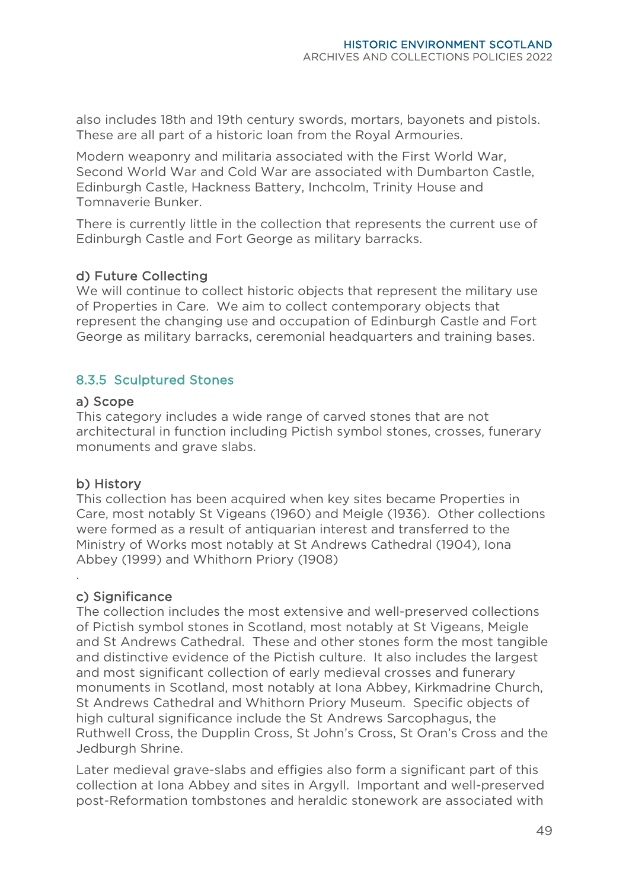also includes 18th and 19th century swords, mortars, bayonets and pistols. These are all part of a historic loan from the Royal Armouries.

Modern weaponry and militaria associated with the First World War, Second World War and Cold War are associated with Dumbarton Castle, Edinburgh Castle, Hackness Battery, Inchcolm, Trinity House and Tomnaverie Bunker.

There is currently little in the collection that represents the current use of Edinburgh Castle and Fort George as military barracks.

#### d) Future Collecting

We will continue to collect historic objects that represent the military use of Properties in Care. We aim to collect contemporary objects that represent the changing use and occupation of Edinburgh Castle and Fort George as military barracks, ceremonial headquarters and training bases.

#### 8.3.5 Sculptured Stones

#### a) Scope

This category includes a wide range of carved stones that are not architectural in function including Pictish symbol stones, crosses, funerary monuments and grave slabs.

#### b) History

.

This collection has been acquired when key sites became Properties in Care, most notably St Vigeans (1960) and Meigle (1936). Other collections were formed as a result of antiquarian interest and transferred to the Ministry of Works most notably at St Andrews Cathedral (1904), Iona Abbey (1999) and Whithorn Priory (1908)

#### c) Significance

The collection includes the most extensive and well-preserved collections of Pictish symbol stones in Scotland, most notably at St Vigeans, Meigle and St Andrews Cathedral. These and other stones form the most tangible and distinctive evidence of the Pictish culture. It also includes the largest and most significant collection of early medieval crosses and funerary monuments in Scotland, most notably at Iona Abbey, Kirkmadrine Church, St Andrews Cathedral and Whithorn Priory Museum. Specific objects of high cultural significance include the St Andrews Sarcophagus, the Ruthwell Cross, the Dupplin Cross, St John's Cross, St Oran's Cross and the Jedburgh Shrine.

Later medieval grave-slabs and effigies also form a significant part of this collection at Iona Abbey and sites in Argyll. Important and well-preserved post-Reformation tombstones and heraldic stonework are associated with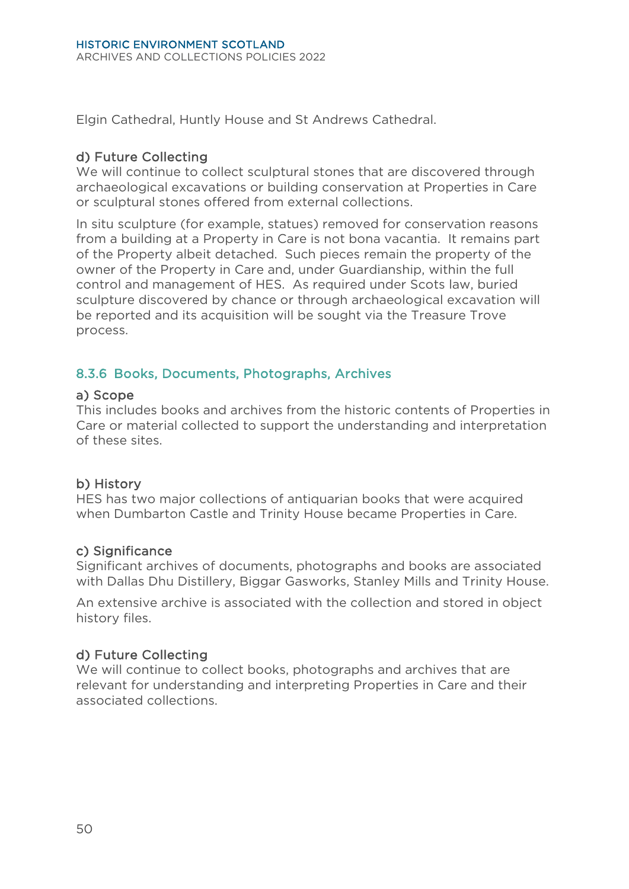Elgin Cathedral, Huntly House and St Andrews Cathedral.

#### d) Future Collecting

We will continue to collect sculptural stones that are discovered through archaeological excavations or building conservation at Properties in Care or sculptural stones offered from external collections.

In situ sculpture (for example, statues) removed for conservation reasons from a building at a Property in Care is not bona vacantia. It remains part of the Property albeit detached. Such pieces remain the property of the owner of the Property in Care and, under Guardianship, within the full control and management of HES. As required under Scots law, buried sculpture discovered by chance or through archaeological excavation will be reported and its acquisition will be sought via the Treasure Trove process.

# 8.3.6 Books, Documents, Photographs, Archives

#### a) Scope

This includes books and archives from the historic contents of Properties in Care or material collected to support the understanding and interpretation of these sites.

#### b) History

HES has two major collections of antiquarian books that were acquired when Dumbarton Castle and Trinity House became Properties in Care.

#### c) Significance

Significant archives of documents, photographs and books are associated with Dallas Dhu Distillery, Biggar Gasworks, Stanley Mills and Trinity House.

An extensive archive is associated with the collection and stored in object history files.

#### d) Future Collecting

We will continue to collect books, photographs and archives that are relevant for understanding and interpreting Properties in Care and their associated collections.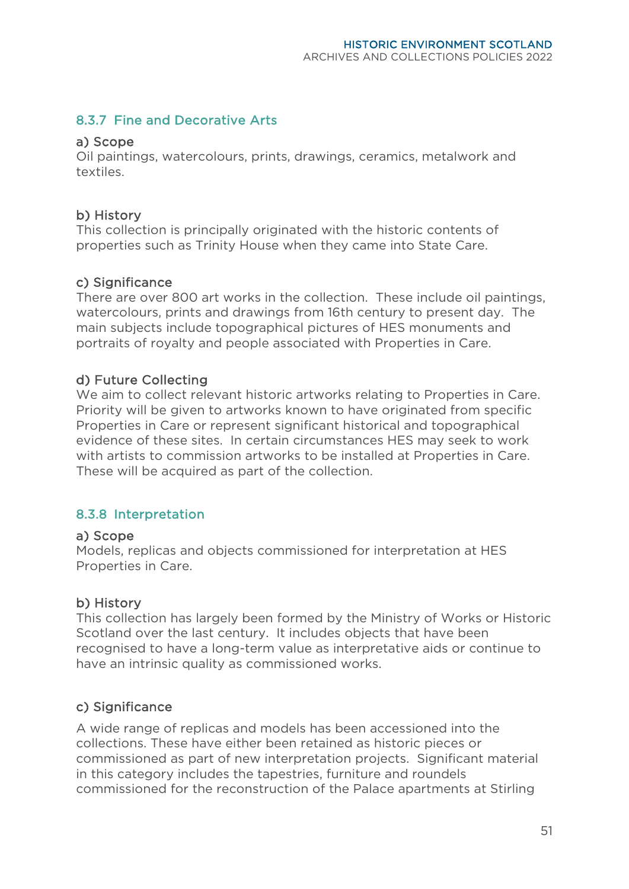# 8.3.7 Fine and Decorative Arts

#### a) Scope

Oil paintings, watercolours, prints, drawings, ceramics, metalwork and textiles.

#### b) History

This collection is principally originated with the historic contents of properties such as Trinity House when they came into State Care.

#### c) Significance

There are over 800 art works in the collection. These include oil paintings, watercolours, prints and drawings from 16th century to present day. The main subjects include topographical pictures of HES monuments and portraits of royalty and people associated with Properties in Care.

#### d) Future Collecting

We aim to collect relevant historic artworks relating to Properties in Care. Priority will be given to artworks known to have originated from specific Properties in Care or represent significant historical and topographical evidence of these sites. In certain circumstances HES may seek to work with artists to commission artworks to be installed at Properties in Care. These will be acquired as part of the collection.

#### 8.3.8 Interpretation

#### a) Scope

Models, replicas and objects commissioned for interpretation at HES Properties in Care.

#### b) History

This collection has largely been formed by the Ministry of Works or Historic Scotland over the last century. It includes objects that have been recognised to have a long-term value as interpretative aids or continue to have an intrinsic quality as commissioned works.

#### c) Significance

A wide range of replicas and models has been accessioned into the collections. These have either been retained as historic pieces or commissioned as part of new interpretation projects. Significant material in this category includes the tapestries, furniture and roundels commissioned for the reconstruction of the Palace apartments at Stirling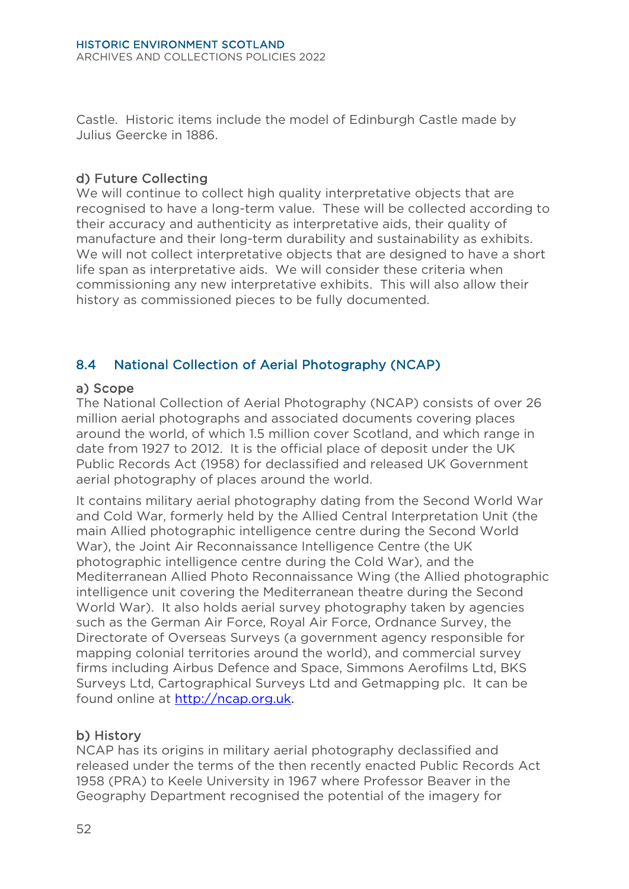Castle. Historic items include the model of Edinburgh Castle made by Julius Geercke in 1886.

#### d) Future Collecting

We will continue to collect high quality interpretative objects that are recognised to have a long-term value. These will be collected according to their accuracy and authenticity as interpretative aids, their quality of manufacture and their long-term durability and sustainability as exhibits. We will not collect interpretative objects that are designed to have a short life span as interpretative aids. We will consider these criteria when commissioning any new interpretative exhibits. This will also allow their history as commissioned pieces to be fully documented.

# <span id="page-55-0"></span>8.4 National Collection of Aerial Photography (NCAP)

#### a) Scope

The National Collection of Aerial Photography (NCAP) consists of over 26 million aerial photographs and associated documents covering places around the world, of which 1.5 million cover Scotland, and which range in date from 1927 to 2012. It is the official place of deposit under the UK Public Records Act (1958) for declassified and released UK Government aerial photography of places around the world.

It contains military aerial photography dating from the Second World War and Cold War, formerly held by the Allied Central Interpretation Unit (the main Allied photographic intelligence centre during the Second World War), the Joint Air Reconnaissance Intelligence Centre (the UK photographic intelligence centre during the Cold War), and the Mediterranean Allied Photo Reconnaissance Wing (the Allied photographic intelligence unit covering the Mediterranean theatre during the Second World War). It also holds aerial survey photography taken by agencies such as the German Air Force, Royal Air Force, Ordnance Survey, the Directorate of Overseas Surveys (a government agency responsible for mapping colonial territories around the world), and commercial survey firms including Airbus Defence and Space, Simmons Aerofilms Ltd, BKS Surveys Ltd, Cartographical Surveys Ltd and Getmapping plc. It can be found online at [http://ncap.org.uk.](http://ncap.org.uk/)

#### b) History

NCAP has its origins in military aerial photography declassified and released under the terms of the then recently enacted Public Records Act 1958 (PRA) to Keele University in 1967 where Professor Beaver in the Geography Department recognised the potential of the imagery for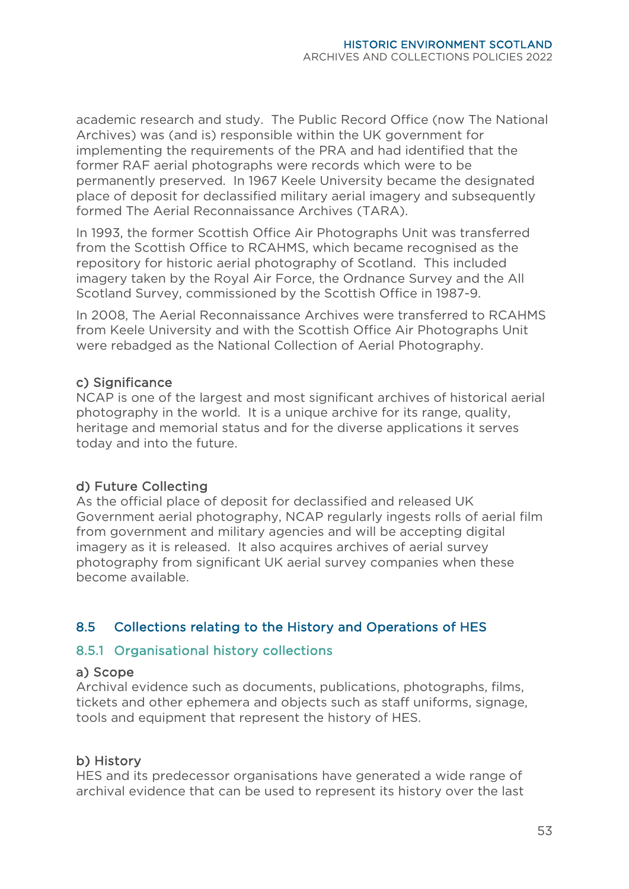academic research and study. The Public Record Office (now The National Archives) was (and is) responsible within the UK government for implementing the requirements of the PRA and had identified that the former RAF aerial photographs were records which were to be permanently preserved. In 1967 Keele University became the designated place of deposit for declassified military aerial imagery and subsequently formed The Aerial Reconnaissance Archives (TARA).

In 1993, the former Scottish Office Air Photographs Unit was transferred from the Scottish Office to RCAHMS, which became recognised as the repository for historic aerial photography of Scotland. This included imagery taken by the Royal Air Force, the Ordnance Survey and the All Scotland Survey, commissioned by the Scottish Office in 1987-9.

In 2008, The Aerial Reconnaissance Archives were transferred to RCAHMS from Keele University and with the Scottish Office Air Photographs Unit were rebadged as the National Collection of Aerial Photography.

#### c) Significance

NCAP is one of the largest and most significant archives of historical aerial photography in the world. It is a unique archive for its range, quality, heritage and memorial status and for the diverse applications it serves today and into the future.

#### d) Future Collecting

As the official place of deposit for declassified and released UK Government aerial photography, NCAP regularly ingests rolls of aerial film from government and military agencies and will be accepting digital imagery as it is released. It also acquires archives of aerial survey photography from significant UK aerial survey companies when these become available.

#### <span id="page-56-0"></span>8.5 Collections relating to the History and Operations of HES

#### 8.5.1 Organisational history collections

#### a) Scope

Archival evidence such as documents, publications, photographs, films, tickets and other ephemera and objects such as staff uniforms, signage, tools and equipment that represent the history of HES.

#### b) History

HES and its predecessor organisations have generated a wide range of archival evidence that can be used to represent its history over the last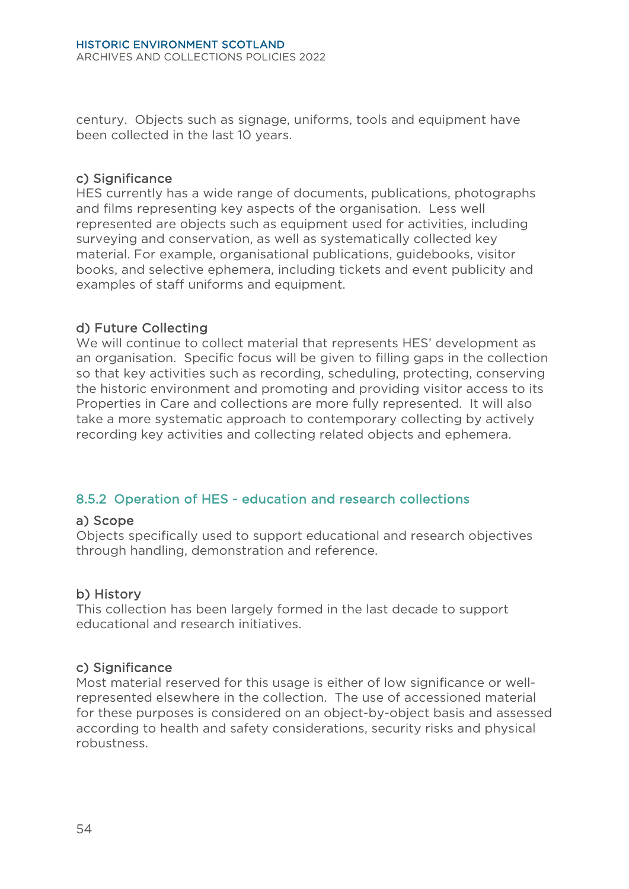century. Objects such as signage, uniforms, tools and equipment have been collected in the last 10 years.

#### c) Significance

HES currently has a wide range of documents, publications, photographs and films representing key aspects of the organisation. Less well represented are objects such as equipment used for activities, including surveying and conservation, as well as systematically collected key material. For example, organisational publications, guidebooks, visitor books, and selective ephemera, including tickets and event publicity and examples of staff uniforms and equipment.

#### d) Future Collecting

We will continue to collect material that represents HES' development as an organisation. Specific focus will be given to filling gaps in the collection so that key activities such as recording, scheduling, protecting, conserving the historic environment and promoting and providing visitor access to its Properties in Care and collections are more fully represented. It will also take a more systematic approach to contemporary collecting by actively recording key activities and collecting related objects and ephemera.

#### 8.5.2 Operation of HES - education and research collections

#### a) Scope

Objects specifically used to support educational and research objectives through handling, demonstration and reference.

#### b) History

This collection has been largely formed in the last decade to support educational and research initiatives.

#### c) Significance

Most material reserved for this usage is either of low significance or wellrepresented elsewhere in the collection. The use of accessioned material for these purposes is considered on an object-by-object basis and assessed according to health and safety considerations, security risks and physical robustness.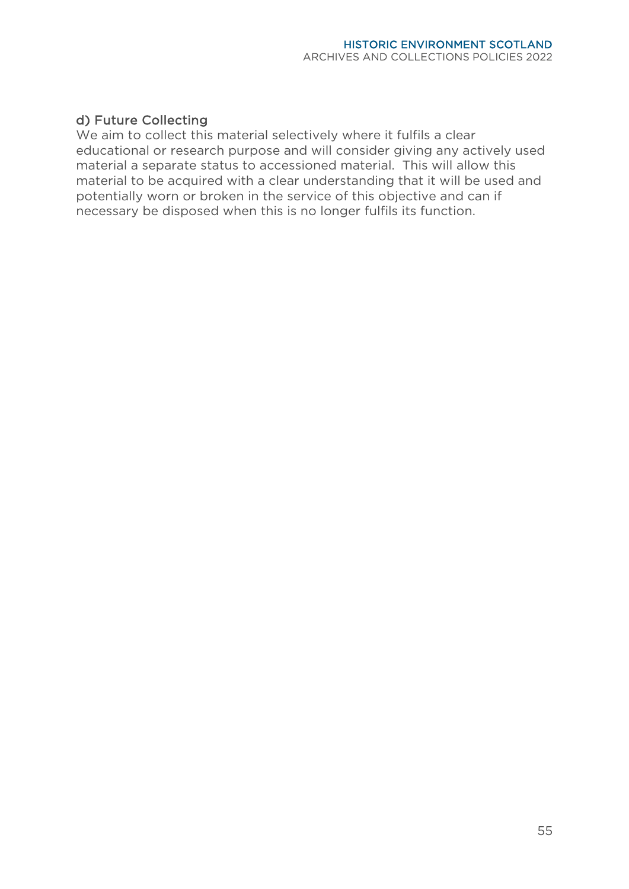#### d) Future Collecting

We aim to collect this material selectively where it fulfils a clear educational or research purpose and will consider giving any actively used material a separate status to accessioned material. This will allow this material to be acquired with a clear understanding that it will be used and potentially worn or broken in the service of this objective and can if necessary be disposed when this is no longer fulfils its function.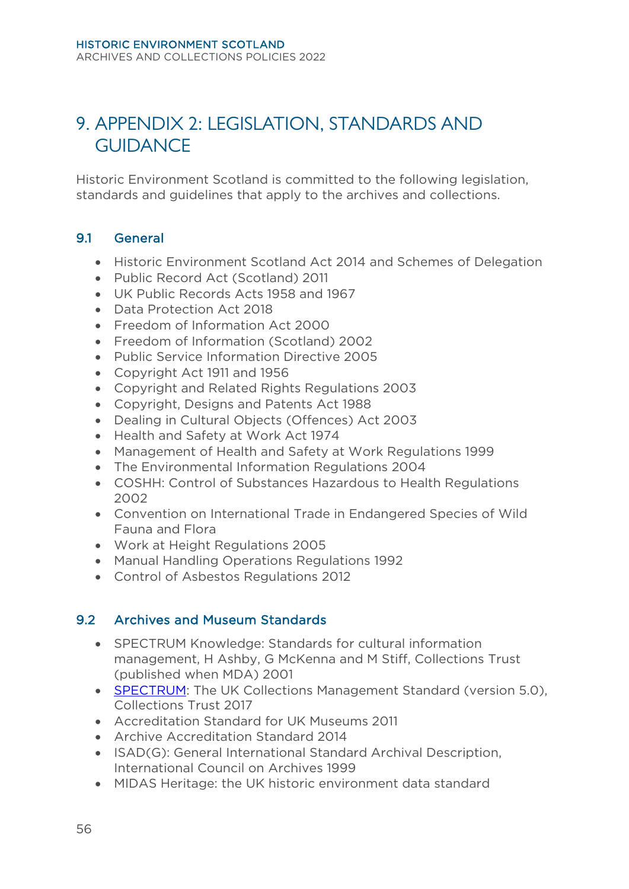# <span id="page-59-0"></span>9. APPENDIX 2: LEGISLATION, STANDARDS AND GUIDANCE

Historic Environment Scotland is committed to the following legislation, standards and guidelines that apply to the archives and collections.

#### <span id="page-59-1"></span>9.1 General

- Historic Environment Scotland Act 2014 and Schemes of Delegation
- Public Record Act (Scotland) 2011
- UK Public Records Acts 1958 and 1967
- Data Protection Act 2018
- Freedom of Information Act 2000
- Freedom of Information (Scotland) 2002
- Public Service Information Directive 2005
- Copyright Act 1911 and 1956
- Copyright and Related Rights Regulations 2003
- Copyright, Designs and Patents Act 1988
- Dealing in Cultural Objects (Offences) Act 2003
- Health and Safety at Work Act 1974
- Management of Health and Safety at Work Regulations 1999
- The Environmental Information Regulations 2004
- COSHH: Control of Substances Hazardous to Health Regulations 2002
- Convention on International Trade in Endangered Species of Wild Fauna and Flora
- Work at Height Regulations 2005
- Manual Handling Operations Regulations 1992
- Control of Asbestos Regulations 2012

#### <span id="page-59-2"></span>9.2 Archives and Museum Standards

- SPECTRUM Knowledge: Standards for cultural information management, H Ashby, G McKenna and M Stiff, Collections Trust (published when MDA) 2001
- **[SPECTRUM:](http://www.collectionstrust.org.uk/collections-link/collections-management/spectrum)** The UK Collections Management Standard (version 5.0), Collections Trust 2017
- Accreditation Standard for UK Museums 2011
- Archive Accreditation Standard 2014
- ISAD(G): General International Standard Archival Description, International Council on Archives 1999
- MIDAS Heritage: the UK historic environment data standard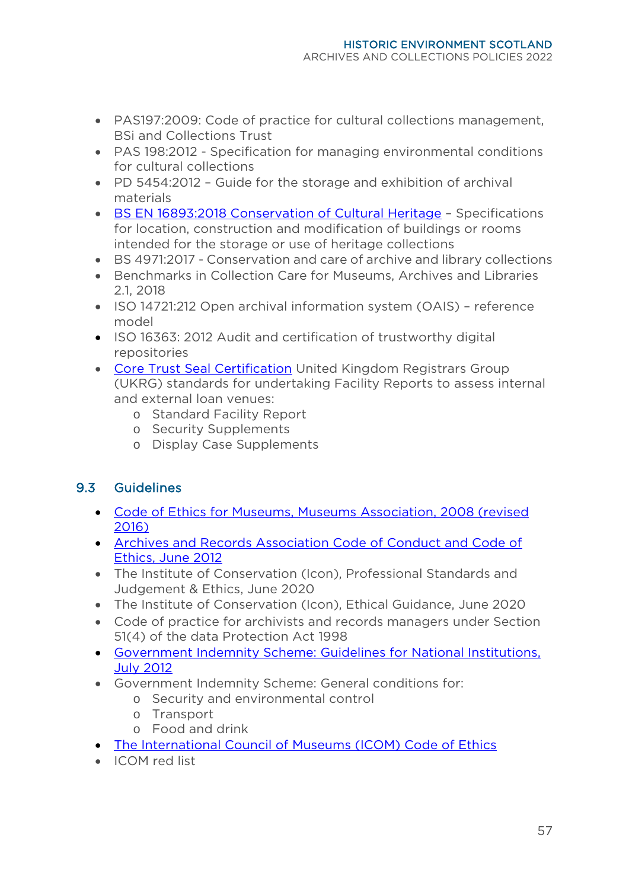- PAS197:2009: Code of practice for cultural collections management, BSi and Collections Trust
- PAS 198:2012 Specification for managing environmental conditions for cultural collections
- PD 5454:2012 Guide for the storage and exhibition of archival materials
- [BS EN 16893:2018 Conservation of Cultural Heritage](https://collectionstrust.org.uk/resource/bs-en-168932018-conservation-of-cultural-heritage/) Specifications for location, construction and modification of buildings or rooms intended for the storage or use of heritage collections
- BS 4971:2017 Conservation and care of archive and library collections
- Benchmarks in Collection Care for Museums, Archives and Libraries 2.1, 2018
- ISO 14721:212 Open archival information system (OAIS) reference model
- ISO 16363: 2012 Audit and certification of trustworthy digital repositories
- [Core Trust Seal Certification](https://www.coretrustseal.org/) United Kingdom Registrars Group (UKRG) standards for undertaking Facility Reports to assess internal and external loan venues:
	- o Standard Facility Report
	- o Security Supplements
	- o Display Case Supplements

# <span id="page-60-0"></span>9.3 Guidelines

- [Code of Ethics for Museums, Museums Association, 2008](http://www.museumsassociation.org/download?id=944515) (revised 2016)
- [Archives and Records Association Code of Conduct](http://www.archives.org.uk/images/ARA_Board/ARA_Code_of_Ethics_final_2016.pdf) and Code of [Ethics, June 2012](http://www.archives.org.uk/images/ARA_Board/ARA_Code_of_Ethics_final_2016.pdf)
- The Institute of Conservation (Icon), Professional Standards and Judgement & Ethics, June 2020
- The Institute of Conservation (Icon), Ethical Guidance, June 2020
- Code of practice for archivists and records managers under Section 51(4) of the data Protection Act 1998
- [Government Indemnity Scheme: Guidelines for National Institutions,](http://www.artscouncil.org.uk/sites/default/files/download-file/GIS_National_guidelines_2016.pdf)  [July 2012](http://www.artscouncil.org.uk/sites/default/files/download-file/GIS_National_guidelines_2016.pdf)
- Government Indemnity Scheme: General conditions for:
	- o Security and environmental control
		- o Transport
		- o Food and drink
- [The International Council of Museums \(ICOM\) Code of Ethics](http://icom.museum/fileadmin/user_upload/pdf/Codes/code_ethics2013_eng.pdf)
- ICOM red list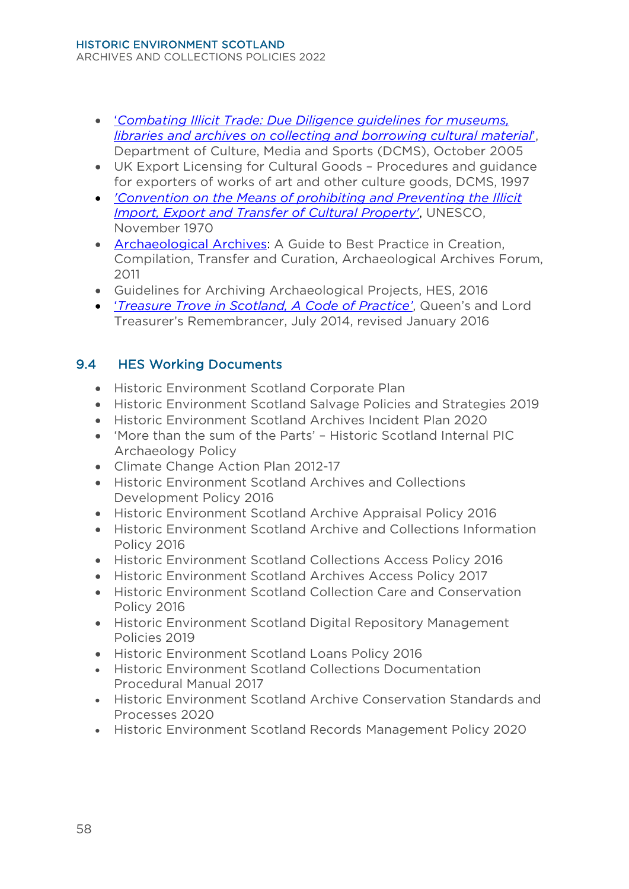- '*[Combating Illicit Trade: Due Diligence guidelines for museums,](http://www.culturalpropertyadvice.gov.uk/assets/userfiles/index.php?file=000211.pdf)  [libraries and archives on collecting and borrowing cultural material](http://www.culturalpropertyadvice.gov.uk/assets/userfiles/index.php?file=000211.pdf)*', Department of Culture, Media and Sports (DCMS), October 2005
- UK Export Licensing for Cultural Goods Procedures and guidance for exporters of works of art and other culture goods, DCMS, 1997
- *['Convention on the Means of prohibiting and Preventing the Illicit](http://portal.unesco.org/en/ev.php-URL_ID=13039&URL_DO=DO_TOPIC&URL_SECTION=201.html)  [Import, Export and Transfer of Cultural Property'](http://portal.unesco.org/en/ev.php-URL_ID=13039&URL_DO=DO_TOPIC&URL_SECTION=201.html)*, UNESCO, November 1970
- [Archaeological Archives:](http://www.archaeologists.net/sites/default/files/ifa_practice_archives.pdf) A Guide to Best Practice in Creation, Compilation, Transfer and Curation, Archaeological Archives Forum, 2011
- Guidelines for Archiving Archaeological Projects, HES, 2016
- '*[Treasure Trove in Scotland, A Code of Practice'](http://www.qltr.gov.uk/sites/default/files/TTcoderevisedto13Jan2016.pdf)*, Queen's and Lord Treasurer's Remembrancer, July 2014, revised January 2016

# <span id="page-61-0"></span>9.4 HES Working Documents

- Historic Environment Scotland Corporate Plan
- Historic Environment Scotland Salvage Policies and Strategies 2019
- Historic Environment Scotland Archives Incident Plan 2020
- 'More than the sum of the Parts' Historic Scotland Internal PIC Archaeology Policy
- Climate Change Action Plan 2012-17
- Historic Environment Scotland Archives and Collections Development Policy 2016
- Historic Environment Scotland Archive Appraisal Policy 2016
- Historic Environment Scotland Archive and Collections Information Policy 2016
- Historic Environment Scotland Collections Access Policy 2016
- Historic Environment Scotland Archives Access Policy 2017
- Historic Environment Scotland Collection Care and Conservation Policy 2016
- Historic Environment Scotland Digital Repository Management Policies 2019
- Historic Environment Scotland Loans Policy 2016
- Historic Environment Scotland Collections Documentation Procedural Manual 2017
- Historic Environment Scotland Archive Conservation Standards and Processes 2020
- Historic Environment Scotland Records Management Policy 2020